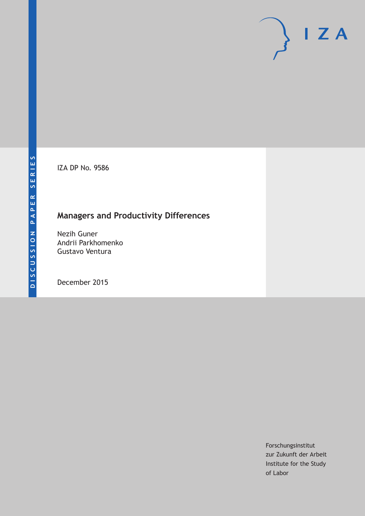IZA DP No. 9586

# **Managers and Productivity Differences**

Nezih Guner Andrii Parkhomenko Gustavo Ventura

December 2015

Forschungsinstitut zur Zukunft der Arbeit Institute for the Study of Labor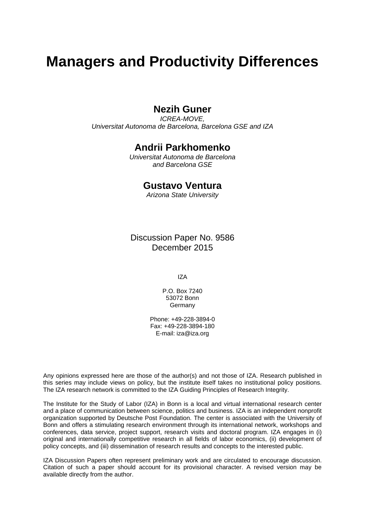# **Managers and Productivity Differences**

### **Nezih Guner**

*ICREA-MOVE, Universitat Autonoma de Barcelona, Barcelona GSE and IZA* 

### **Andrii Parkhomenko**

*Universitat Autonoma de Barcelona and Barcelona GSE* 

### **Gustavo Ventura**

*Arizona State University*

Discussion Paper No. 9586 December 2015

IZA

P.O. Box 7240 53072 Bonn **Germanv** 

Phone: +49-228-3894-0 Fax: +49-228-3894-180 E-mail: iza@iza.org

Any opinions expressed here are those of the author(s) and not those of IZA. Research published in this series may include views on policy, but the institute itself takes no institutional policy positions. The IZA research network is committed to the IZA Guiding Principles of Research Integrity.

The Institute for the Study of Labor (IZA) in Bonn is a local and virtual international research center and a place of communication between science, politics and business. IZA is an independent nonprofit organization supported by Deutsche Post Foundation. The center is associated with the University of Bonn and offers a stimulating research environment through its international network, workshops and conferences, data service, project support, research visits and doctoral program. IZA engages in (i) original and internationally competitive research in all fields of labor economics, (ii) development of policy concepts, and (iii) dissemination of research results and concepts to the interested public.

IZA Discussion Papers often represent preliminary work and are circulated to encourage discussion. Citation of such a paper should account for its provisional character. A revised version may be available directly from the author.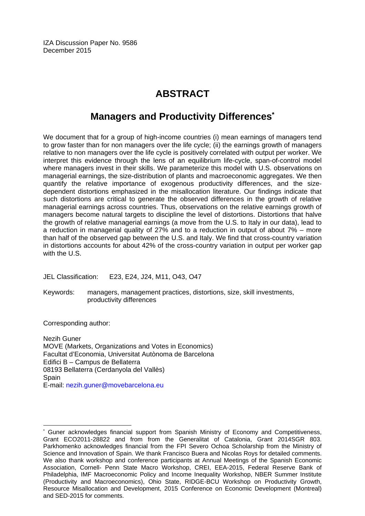IZA Discussion Paper No. 9586 December 2015

## **ABSTRACT**

## **Managers and Productivity Differences\***

We document that for a group of high-income countries (i) mean earnings of managers tend to grow faster than for non managers over the life cycle; (ii) the earnings growth of managers relative to non managers over the life cycle is positively correlated with output per worker. We interpret this evidence through the lens of an equilibrium life-cycle, span-of-control model where managers invest in their skills. We parameterize this model with U.S. observations on managerial earnings, the size-distribution of plants and macroeconomic aggregates. We then quantify the relative importance of exogenous productivity differences, and the sizedependent distortions emphasized in the misallocation literature. Our findings indicate that such distortions are critical to generate the observed differences in the growth of relative managerial earnings across countries. Thus, observations on the relative earnings growth of managers become natural targets to discipline the level of distortions. Distortions that halve the growth of relative managerial earnings (a move from the U.S. to Italy in our data), lead to a reduction in managerial quality of 27% and to a reduction in output of about 7% – more than half of the observed gap between the U.S. and Italy. We find that cross-country variation in distortions accounts for about 42% of the cross-country variation in output per worker gap with the U.S.

JEL Classification: E23, E24, J24, M11, O43, O47

Keywords: managers, management practices, distortions, size, skill investments, productivity differences

Corresponding author:

 $\overline{a}$ 

Nezih Guner MOVE (Markets, Organizations and Votes in Economics) Facultat d'Economia, Universitat Autònoma de Barcelona Edifici B – Campus de Bellaterra 08193 Bellaterra (Cerdanyola del Vallès) Spain E-mail: nezih.guner@movebarcelona.eu

<sup>\*</sup> Guner acknowledges financial support from Spanish Ministry of Economy and Competitiveness, Grant ECO2011-28822 and from from the Generalitat of Catalonia, Grant 2014SGR 803. Parkhomenko acknowledges financial from the FPI Severo Ochoa Scholarship from the Ministry of Science and Innovation of Spain. We thank Francisco Buera and Nicolas Roys for detailed comments. We also thank workshop and conference participants at Annual Meetings of the Spanish Economic Association, Cornell- Penn State Macro Workshop, CREI, EEA-2015, Federal Reserve Bank of Philadelphia, IMF Macroeconomic Policy and Income Inequality Workshop, NBER Summer Institute (Productivity and Macroeconomics), Ohio State, RIDGE-BCU Workshop on Productivity Growth, Resource Misallocation and Development, 2015 Conference on Economic Development (Montreal) and SED-2015 for comments.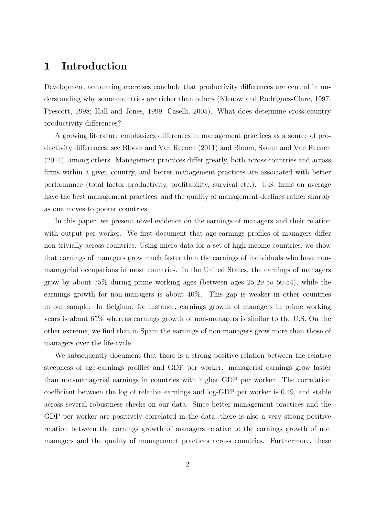### **1 Introduction**

Development accounting exercises conclude that productivity differences are central in understanding why some countries are richer than others (Klenow and Rodriguez-Clare, 1997; Prescott, 1998; Hall and Jones, 1999; Caselli, 2005). What does determine cross country productivity differences?

A growing literature emphasizes differences in management practices as a source of productivity differences; see Bloom and Van Reenen (2011) and Bloom, Sadun and Van Reenen (2014), among others. Management practices differ greatly, both across countries and across firms within a given country, and better management practices are associated with better performance (total factor productivity, profitability, survival etc.). U.S. firms on average have the best management practices, and the quality of management declines rather sharply as one moves to poorer countries.

In this paper, we present novel evidence on the earnings of managers and their relation with output per worker. We first document that age-earnings profiles of managers differ non trivially across countries. Using micro data for a set of high-income countries, we show that earnings of managers grow much faster than the earnings of individuals who have nonmanagerial occupations in most countries. In the United States, the earnings of managers grow by about 75% during prime working ages (between ages 25-29 to 50-54), while the earnings growth for non-managers is about 40%. This gap is weaker in other countries in our sample. In Belgium, for instance, earnings growth of managers in prime working years is about 65% whereas earnings growth of non-managers is similar to the U.S. On the other extreme, we find that in Spain the earnings of non-managers grow more than those of managers over the life-cycle.

We subsequently document that there is a strong positive relation between the relative steepness of age-earnings profiles and GDP per worker: managerial earnings grow faster than non-managerial earnings in countries with higher GDP per worker. The correlation coefficient between the log of relative earnings and log-GDP per worker is 0.49, and stable across several robustness checks on our data. Since better management practices and the GDP per worker are positively correlated in the data, there is also a very strong positive relation between the earnings growth of managers relative to the earnings growth of non managers and the quality of management practices across countries. Furthermore, these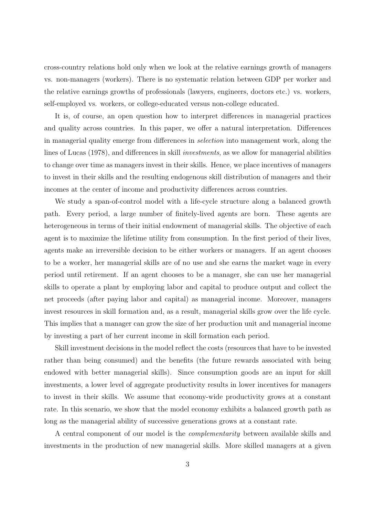cross-country relations hold only when we look at the relative earnings growth of managers vs. non-managers (workers). There is no systematic relation between GDP per worker and the relative earnings growths of professionals (lawyers, engineers, doctors etc.) vs. workers, self-employed vs. workers, or college-educated versus non-college educated.

It is, of course, an open question how to interpret differences in managerial practices and quality across countries. In this paper, we offer a natural interpretation. Differences in managerial quality emerge from differences in *selection* into management work, along the lines of Lucas (1978), and differences in skill *investments*, as we allow for managerial abilities to change over time as managers invest in their skills. Hence, we place incentives of managers to invest in their skills and the resulting endogenous skill distribution of managers and their incomes at the center of income and productivity differences across countries.

We study a span-of-control model with a life-cycle structure along a balanced growth path. Every period, a large number of finitely-lived agents are born. These agents are heterogeneous in terms of their initial endowment of managerial skills. The objective of each agent is to maximize the lifetime utility from consumption. In the first period of their lives, agents make an irreversible decision to be either workers or managers. If an agent chooses to be a worker, her managerial skills are of no use and she earns the market wage in every period until retirement. If an agent chooses to be a manager, she can use her managerial skills to operate a plant by employing labor and capital to produce output and collect the net proceeds (after paying labor and capital) as managerial income. Moreover, managers invest resources in skill formation and, as a result, managerial skills grow over the life cycle. This implies that a manager can grow the size of her production unit and managerial income by investing a part of her current income in skill formation each period.

Skill investment decisions in the model reflect the costs (resources that have to be invested rather than being consumed) and the benefits (the future rewards associated with being endowed with better managerial skills). Since consumption goods are an input for skill investments, a lower level of aggregate productivity results in lower incentives for managers to invest in their skills. We assume that economy-wide productivity grows at a constant rate. In this scenario, we show that the model economy exhibits a balanced growth path as long as the managerial ability of successive generations grows at a constant rate.

A central component of our model is the *complementarity* between available skills and investments in the production of new managerial skills. More skilled managers at a given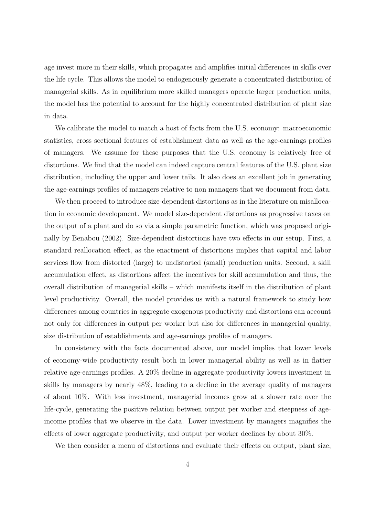age invest more in their skills, which propagates and amplifies initial differences in skills over the life cycle. This allows the model to endogenously generate a concentrated distribution of managerial skills. As in equilibrium more skilled managers operate larger production units, the model has the potential to account for the highly concentrated distribution of plant size in data.

We calibrate the model to match a host of facts from the U.S. economy: macroeconomic statistics, cross sectional features of establishment data as well as the age-earnings profiles of managers. We assume for these purposes that the U.S. economy is relatively free of distortions. We find that the model can indeed capture central features of the U.S. plant size distribution, including the upper and lower tails. It also does an excellent job in generating the age-earnings profiles of managers relative to non managers that we document from data.

We then proceed to introduce size-dependent distortions as in the literature on misallocation in economic development. We model size-dependent distortions as progressive taxes on the output of a plant and do so via a simple parametric function, which was proposed originally by Benabou (2002). Size-dependent distortions have two effects in our setup. First, a standard reallocation effect, as the enactment of distortions implies that capital and labor services flow from distorted (large) to undistorted (small) production units. Second, a skill accumulation effect, as distortions affect the incentives for skill accumulation and thus, the overall distribution of managerial skills – which manifests itself in the distribution of plant level productivity. Overall, the model provides us with a natural framework to study how differences among countries in aggregate exogenous productivity and distortions can account not only for differences in output per worker but also for differences in managerial quality, size distribution of establishments and age-earnings profiles of managers.

In consistency with the facts documented above, our model implies that lower levels of economy-wide productivity result both in lower managerial ability as well as in flatter relative age-earnings profiles. A 20% decline in aggregate productivity lowers investment in skills by managers by nearly 48%, leading to a decline in the average quality of managers of about 10%. With less investment, managerial incomes grow at a slower rate over the life-cycle, generating the positive relation between output per worker and steepness of ageincome profiles that we observe in the data. Lower investment by managers magnifies the effects of lower aggregate productivity, and output per worker declines by about 30%.

We then consider a menu of distortions and evaluate their effects on output, plant size,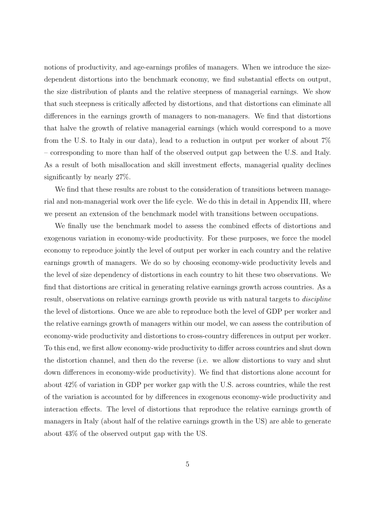notions of productivity, and age-earnings profiles of managers. When we introduce the sizedependent distortions into the benchmark economy, we find substantial effects on output, the size distribution of plants and the relative steepness of managerial earnings. We show that such steepness is critically affected by distortions, and that distortions can eliminate all differences in the earnings growth of managers to non-managers. We find that distortions that halve the growth of relative managerial earnings (which would correspond to a move from the U.S. to Italy in our data), lead to a reduction in output per worker of about 7% – corresponding to more than half of the observed output gap between the U.S. and Italy. As a result of both misallocation and skill investment effects, managerial quality declines significantly by nearly 27%.

We find that these results are robust to the consideration of transitions between managerial and non-managerial work over the life cycle. We do this in detail in Appendix III, where we present an extension of the benchmark model with transitions between occupations.

We finally use the benchmark model to assess the combined effects of distortions and exogenous variation in economy-wide productivity. For these purposes, we force the model economy to reproduce jointly the level of output per worker in each country and the relative earnings growth of managers. We do so by choosing economy-wide productivity levels and the level of size dependency of distortions in each country to hit these two observations. We find that distortions are critical in generating relative earnings growth across countries. As a result, observations on relative earnings growth provide us with natural targets to *discipline* the level of distortions. Once we are able to reproduce both the level of GDP per worker and the relative earnings growth of managers within our model, we can assess the contribution of economy-wide productivity and distortions to cross-country differences in output per worker. To this end, we first allow economy-wide productivity to differ across countries and shut down the distortion channel, and then do the reverse (i.e. we allow distortions to vary and shut down differences in economy-wide productivity). We find that distortions alone account for about 42% of variation in GDP per worker gap with the U.S. across countries, while the rest of the variation is accounted for by differences in exogenous economy-wide productivity and interaction effects. The level of distortions that reproduce the relative earnings growth of managers in Italy (about half of the relative earnings growth in the US) are able to generate about 43% of the observed output gap with the US.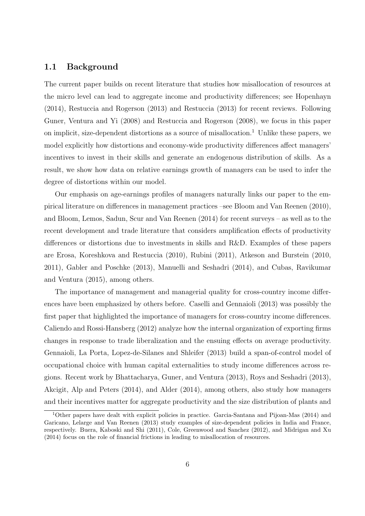#### **1.1 Background**

The current paper builds on recent literature that studies how misallocation of resources at the micro level can lead to aggregate income and productivity differences; see Hopenhayn (2014), Restuccia and Rogerson (2013) and Restuccia (2013) for recent reviews. Following Guner, Ventura and Yi (2008) and Restuccia and Rogerson (2008), we focus in this paper on implicit, size-dependent distortions as a source of misallocation.<sup>1</sup> Unlike these papers, we model explicitly how distortions and economy-wide productivity differences affect managers' incentives to invest in their skills and generate an endogenous distribution of skills. As a result, we show how data on relative earnings growth of managers can be used to infer the degree of distortions within our model.

Our emphasis on age-earnings profiles of managers naturally links our paper to the empirical literature on differences in management practices –see Bloom and Van Reenen (2010), and Bloom, Lemos, Sadun, Scur and Van Reenen (2014) for recent surveys – as well as to the recent development and trade literature that considers amplification effects of productivity differences or distortions due to investments in skills and R&D. Examples of these papers are Erosa, Koreshkova and Restuccia (2010), Rubini (2011), Atkeson and Burstein (2010, 2011), Gabler and Poschke (2013), Manuelli and Seshadri (2014), and Cubas, Ravikumar and Ventura (2015), among others.

The importance of management and managerial quality for cross-country income differences have been emphasized by others before. Caselli and Gennaioli (2013) was possibly the first paper that highlighted the importance of managers for cross-country income differences. Caliendo and Rossi-Hansberg (2012) analyze how the internal organization of exporting firms changes in response to trade liberalization and the ensuing effects on average productivity. Gennaioli, La Porta, Lopez-de-Silanes and Shleifer (2013) build a span-of-control model of occupational choice with human capital externalities to study income differences across regions. Recent work by Bhattacharya, Guner, and Ventura (2013), Roys and Seshadri (2013), Akcigit, Alp and Peters (2014), and Alder (2014), among others, also study how managers and their incentives matter for aggregate productivity and the size distribution of plants and

<sup>1</sup>Other papers have dealt with explicit policies in practice. Garcia-Santana and Pijoan-Mas (2014) and Garicano, Lelarge and Van Reenen (2013) study examples of size-dependent policies in India and France, respectively. Buera, Kaboski and Shi (2011), Cole, Greenwood and Sanchez (2012), and Midrigan and Xu (2014) focus on the role of financial frictions in leading to misallocation of resources.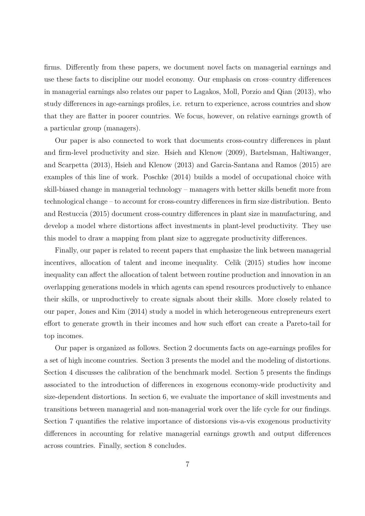firms. Differently from these papers, we document novel facts on managerial earnings and use these facts to discipline our model economy. Our emphasis on cross–country differences in managerial earnings also relates our paper to Lagakos, Moll, Porzio and Qian (2013), who study differences in age-earnings profiles, i.e. return to experience, across countries and show that they are flatter in poorer countries. We focus, however, on relative earnings growth of a particular group (managers).

Our paper is also connected to work that documents cross-country differences in plant and firm-level productivity and size. Hsieh and Klenow (2009), Bartelsman, Haltiwanger, and Scarpetta (2013), Hsieh and Klenow (2013) and Garcia-Santana and Ramos (2015) are examples of this line of work. Poschke (2014) builds a model of occupational choice with skill-biased change in managerial technology – managers with better skills benefit more from technological change – to account for cross-country differences in firm size distribution. Bento and Restuccia (2015) document cross-country differences in plant size in manufacturing, and develop a model where distortions affect investments in plant-level productivity. They use this model to draw a mapping from plant size to aggregate productivity differences.

Finally, our paper is related to recent papers that emphasize the link between managerial incentives, allocation of talent and income inequality. Celik (2015) studies how income inequality can affect the allocation of talent between routine production and innovation in an overlapping generations models in which agents can spend resources productively to enhance their skills, or unproductively to create signals about their skills. More closely related to our paper, Jones and Kim (2014) study a model in which heterogeneous entrepreneurs exert effort to generate growth in their incomes and how such effort can create a Pareto-tail for top incomes.

Our paper is organized as follows. Section 2 documents facts on age-earnings profiles for a set of high income countries. Section 3 presents the model and the modeling of distortions. Section 4 discusses the calibration of the benchmark model. Section 5 presents the findings associated to the introduction of differences in exogenous economy-wide productivity and size-dependent distortions. In section 6, we evaluate the importance of skill investments and transitions between managerial and non-managerial work over the life cycle for our findings. Section 7 quantifies the relative importance of distorsions vis-a-vis exogenous productivity differences in accounting for relative managerial earnings growth and output differences across countries. Finally, section 8 concludes.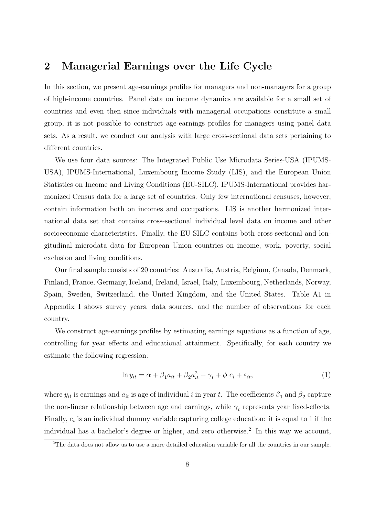### **2 Managerial Earnings over the Life Cycle**

In this section, we present age-earnings profiles for managers and non-managers for a group of high-income countries. Panel data on income dynamics are available for a small set of countries and even then since individuals with managerial occupations constitute a small group, it is not possible to construct age-earnings profiles for managers using panel data sets. As a result, we conduct our analysis with large cross-sectional data sets pertaining to different countries.

We use four data sources: The Integrated Public Use Microdata Series-USA (IPUMS-USA), IPUMS-International, Luxembourg Income Study (LIS), and the European Union Statistics on Income and Living Conditions (EU-SILC). IPUMS-International provides harmonized Census data for a large set of countries. Only few international censuses, however, contain information both on incomes and occupations. LIS is another harmonized international data set that contains cross-sectional individual level data on income and other socioeconomic characteristics. Finally, the EU-SILC contains both cross-sectional and longitudinal microdata data for European Union countries on income, work, poverty, social exclusion and living conditions.

Our final sample consists of 20 countries: Australia, Austria, Belgium, Canada, Denmark, Finland, France, Germany, Iceland, Ireland, Israel, Italy, Luxembourg, Netherlands, Norway, Spain, Sweden, Switzerland, the United Kingdom, and the United States. Table A1 in Appendix I shows survey years, data sources, and the number of observations for each country.

We construct age-earnings profiles by estimating earnings equations as a function of age, controlling for year effects and educational attainment. Specifically, for each country we estimate the following regression:

$$
\ln y_{it} = \alpha + \beta_1 a_{it} + \beta_2 a_{it}^2 + \gamma_t + \phi \ e_i + \varepsilon_{it},\tag{1}
$$

where  $y_{it}$  is earnings and  $a_{it}$  is age of individual *i* in year *t*. The coefficients  $\beta_1$  and  $\beta_2$  capture the non-linear relationship between age and earnings, while  $\gamma_t$  represents year fixed-effects. Finally,  $e_i$  is an individual dummy variable capturing college education: it is equal to 1 if the individual has a bachelor's degree or higher, and zero otherwise.<sup>2</sup> In this way we account,

<sup>&</sup>lt;sup>2</sup>The data does not allow us to use a more detailed education variable for all the countries in our sample.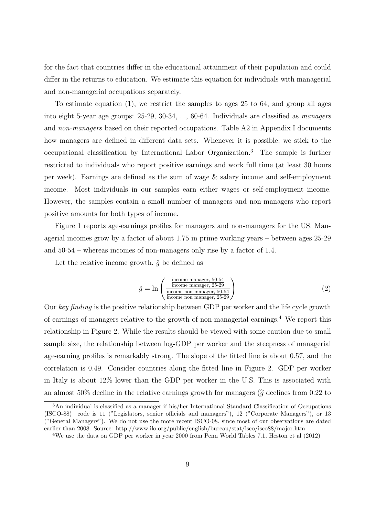for the fact that countries differ in the educational attainment of their population and could differ in the returns to education. We estimate this equation for individuals with managerial and non-managerial occupations separately.

To estimate equation (1), we restrict the samples to ages 25 to 64, and group all ages into eight 5-year age groups: 25-29, 30-34, ..., 60-64. Individuals are classified as *managers* and *non-managers* based on their reported occupations. Table A2 in Appendix I documents how managers are defined in different data sets. Whenever it is possible, we stick to the occupational classification by International Labor Organization.<sup>3</sup> The sample is further restricted to individuals who report positive earnings and work full time (at least 30 hours per week). Earnings are defined as the sum of wage & salary income and self-employment income. Most individuals in our samples earn either wages or self-employment income. However, the samples contain a small number of managers and non-managers who report positive amounts for both types of income.

Figure 1 reports age-earnings profiles for managers and non-managers for the US. Managerial incomes grow by a factor of about 1.75 in prime working years – between ages 25-29 and 50-54 – whereas incomes of non-managers only rise by a factor of 1.4.

Let the relative income growth,  $\hat{q}$  be defined as

$$
\hat{g} = \ln \left( \frac{\frac{\text{income manager, 50-54}}{\text{income manager, 25-29}}}{\frac{\text{income non manager, 50-54}}{\text{income non manager, 25-29}}} \right) \tag{2}
$$

Our *key finding* is the positive relationship between GDP per worker and the life cycle growth of earnings of managers relative to the growth of non-managerial earnings.<sup>4</sup> We report this relationship in Figure 2. While the results should be viewed with some caution due to small sample size, the relationship between log-GDP per worker and the steepness of managerial age-earning profiles is remarkably strong. The slope of the fitted line is about 0.57, and the correlation is 0.49. Consider countries along the fitted line in Figure 2. GDP per worker in Italy is about 12% lower than the GDP per worker in the U.S. This is associated with an almost 50% decline in the relative earnings growth for managers  $(\hat{g})$  declines from 0.22 to

<sup>3</sup>An individual is classified as a manager if his/her International Standard Classification of Occupations (ISCO-88) code is 11 ("Legislators, senior officials and managers"), 12 ("Corporate Managers"), or 13 ("General Managers"). We do not use the more recent ISCO-08, since most of our observations are dated earlier than 2008. Source: http://www.ilo.org/public/english/bureau/stat/isco/isco88/major.htm

<sup>4</sup>We use the data on GDP per worker in year 2000 from Penn World Tables 7.1, Heston et al (2012)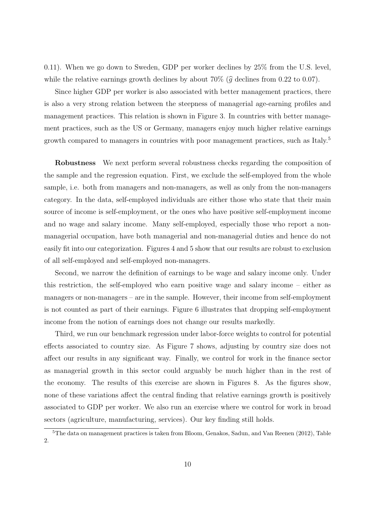0.11). When we go down to Sweden, GDP per worker declines by 25% from the U.S. level, while the relative earnings growth declines by about  $70\%$  ( $\hat{q}$  declines from 0.22 to 0.07).

Since higher GDP per worker is also associated with better management practices, there is also a very strong relation between the steepness of managerial age-earning profiles and management practices. This relation is shown in Figure 3. In countries with better management practices, such as the US or Germany, managers enjoy much higher relative earnings growth compared to managers in countries with poor management practices, such as Italy.<sup>5</sup>

**Robustness** We next perform several robustness checks regarding the composition of the sample and the regression equation. First, we exclude the self-employed from the whole sample, i.e. both from managers and non-managers, as well as only from the non-managers category. In the data, self-employed individuals are either those who state that their main source of income is self-employment, or the ones who have positive self-employment income and no wage and salary income. Many self-employed, especially those who report a nonmanagerial occupation, have both managerial and non-managerial duties and hence do not easily fit into our categorization. Figures 4 and 5 show that our results are robust to exclusion of all self-employed and self-employed non-managers.

Second, we narrow the definition of earnings to be wage and salary income only. Under this restriction, the self-employed who earn positive wage and salary income – either as managers or non-managers – are in the sample. However, their income from self-employment is not counted as part of their earnings. Figure 6 illustrates that dropping self-employment income from the notion of earnings does not change our results markedly.

Third, we run our benchmark regression under labor-force weights to control for potential effects associated to country size. As Figure 7 shows, adjusting by country size does not affect our results in any significant way. Finally, we control for work in the finance sector as managerial growth in this sector could arguably be much higher than in the rest of the economy. The results of this exercise are shown in Figures 8. As the figures show, none of these variations affect the central finding that relative earnings growth is positively associated to GDP per worker. We also run an exercise where we control for work in broad sectors (agriculture, manufacturing, services). Our key finding still holds.

<sup>&</sup>lt;sup>5</sup>The data on management practices is taken from Bloom, Genakos, Sadun, and Van Reenen (2012), Table 2.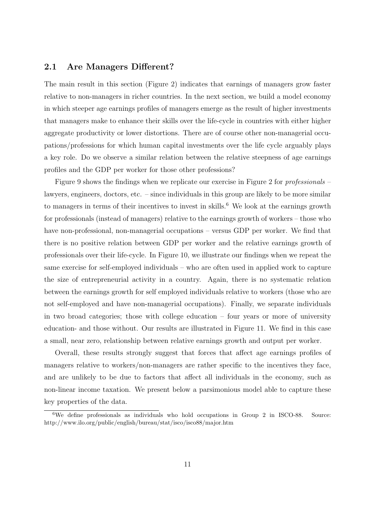#### **2.1 Are Managers Different?**

The main result in this section (Figure 2) indicates that earnings of managers grow faster relative to non-managers in richer countries. In the next section, we build a model economy in which steeper age earnings profiles of managers emerge as the result of higher investments that managers make to enhance their skills over the life-cycle in countries with either higher aggregate productivity or lower distortions. There are of course other non-managerial occupations/professions for which human capital investments over the life cycle arguably plays a key role. Do we observe a similar relation between the relative steepness of age earnings profiles and the GDP per worker for those other professions?

Figure 9 shows the findings when we replicate our exercise in Figure 2 for *professionals* – lawyers, engineers, doctors, etc. – since individuals in this group are likely to be more similar to managers in terms of their incentives to invest in skills.<sup>6</sup> We look at the earnings growth for professionals (instead of managers) relative to the earnings growth of workers – those who have non-professional, non-managerial occupations – versus GDP per worker. We find that there is no positive relation between GDP per worker and the relative earnings growth of professionals over their life-cycle. In Figure 10, we illustrate our findings when we repeat the same exercise for self-employed individuals – who are often used in applied work to capture the size of entrepreneurial activity in a country. Again, there is no systematic relation between the earnings growth for self employed individuals relative to workers (those who are not self-employed and have non-managerial occupations). Finally, we separate individuals in two broad categories; those with college education – four years or more of university education- and those without. Our results are illustrated in Figure 11. We find in this case a small, near zero, relationship between relative earnings growth and output per worker.

Overall, these results strongly suggest that forces that affect age earnings profiles of managers relative to workers/non-managers are rather specific to the incentives they face, and are unlikely to be due to factors that affect all individuals in the economy, such as non-linear income taxation. We present below a parsimonious model able to capture these key properties of the data.

<sup>6</sup>We define professionals as individuals who hold occupations in Group 2 in ISCO-88. Source: http://www.ilo.org/public/english/bureau/stat/isco/isco88/major.htm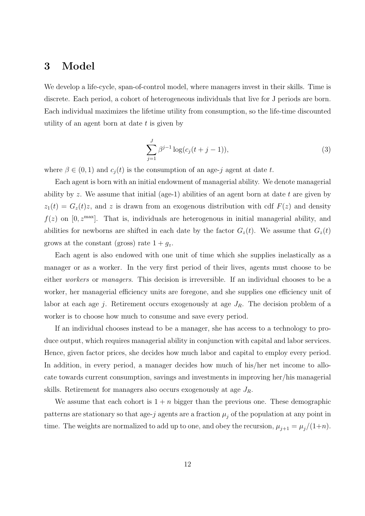### **3 Model**

We develop a life-cycle, span-of-control model, where managers invest in their skills. Time is discrete. Each period, a cohort of heterogeneous individuals that live for J periods are born. Each individual maximizes the lifetime utility from consumption, so the life-time discounted utility of an agent born at date *t* is given by

$$
\sum_{j=1}^{J} \beta^{j-1} \log(c_j(t+j-1)),
$$
\n(3)

where  $\beta \in (0,1)$  and  $c_i(t)$  is the consumption of an age-*j* agent at date *t*.

Each agent is born with an initial endowment of managerial ability. We denote managerial ability by *z*. We assume that initial (age-1) abilities of an agent born at date *t* are given by  $z_1(t) = G_z(t)z$ , and *z* is drawn from an exogenous distribution with cdf  $F(z)$  and density  $f(z)$  on [0,  $z^{\text{max}}$ ]. That is, individuals are heterogenous in initial managerial ability, and abilities for newborns are shifted in each date by the factor  $G_z(t)$ . We assume that  $G_z(t)$ grows at the constant (gross) rate  $1 + g_z$ .

Each agent is also endowed with one unit of time which she supplies inelastically as a manager or as a worker. In the very first period of their lives, agents must choose to be either *workers* or *managers*. This decision is irreversible. If an individual chooses to be a worker, her managerial efficiency units are foregone, and she supplies one efficiency unit of labor at each age *j*. Retirement occurs exogenously at age *JR*. The decision problem of a worker is to choose how much to consume and save every period.

If an individual chooses instead to be a manager, she has access to a technology to produce output, which requires managerial ability in conjunction with capital and labor services. Hence, given factor prices, she decides how much labor and capital to employ every period. In addition, in every period, a manager decides how much of his/her net income to allocate towards current consumption, savings and investments in improving her/his managerial skills. Retirement for managers also occurs exogenously at age *JR*.

We assume that each cohort is  $1 + n$  bigger than the previous one. These demographic patterns are stationary so that age-*j* agents are a fraction  $\mu_j$  of the population at any point in time. The weights are normalized to add up to one, and obey the recursion,  $\mu_{j+1} = \mu_j/(1+n)$ .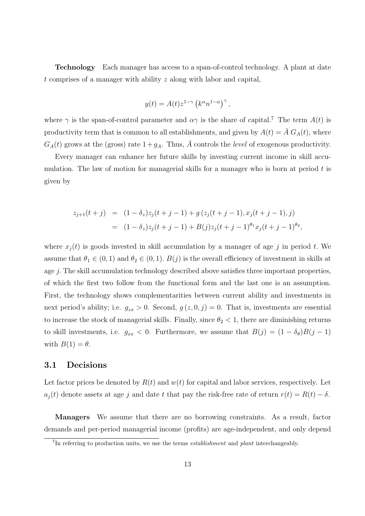**Technology** Each manager has access to a span-of-control technology. A plant at date *t* comprises of a manager with ability *z* along with labor and capital,

$$
y(t) = A(t)z^{1-\gamma} \left( k^{\alpha} n^{1-\alpha} \right)^{\gamma},
$$

where  $\gamma$  is the span-of-control parameter and  $\alpha\gamma$  is the share of capital.<sup>7</sup> The term  $A(t)$  is productivity term that is common to all establishments, and given by  $A(t) = \overline{A} G_A(t)$ , where  $G_A(t)$  grows at the (gross) rate  $1 + g_A$ . Thus,  $\overline{A}$  controls the *level* of exogenous productivity.

Every manager can enhance her future skills by investing current income in skill accumulation. The law of motion for managerial skills for a manager who is born at period *t* is given by

$$
z_{j+1}(t+j) = (1 - \delta_z)z_j(t+j-1) + g(z_j(t+j-1), x_j(t+j-1), j)
$$
  
= 
$$
(1 - \delta_z)z_j(t+j-1) + B(j)z_j(t+j-1)^{\theta_1}x_j(t+j-1)^{\theta_2},
$$

where  $x_j(t)$  is goods invested in skill accumulation by a manager of age *j* in period *t*. We assume that  $\theta_1 \in (0,1)$  and  $\theta_2 \in (0,1)$ *. B*(*j*) is the overall efficiency of investment in skills at age *j.* The skill accumulation technology described above satisfies three important properties, of which the first two follow from the functional form and the last one is an assumption. First, the technology shows complementarities between current ability and investments in next period's ability; i.e.  $g_{zx} > 0$ . Second,  $g(z, 0, j) = 0$ . That is, investments are essential to increase the stock of managerial skills. Finally, since  $\theta_2 < 1$ , there are diminishing returns to skill investments, i.e.  $g_{xx} < 0$ . Furthermore, we assume that  $B(j) = (1 - \delta_{\theta})B(j - 1)$ with  $B(1) = \theta$ .

#### **3.1 Decisions**

Let factor prices be denoted by  $R(t)$  and  $w(t)$  for capital and labor services, respectively. Let  $a_j(t)$  denote assets at age *j* and date *t* that pay the risk-free rate of return  $r(t) = R(t) - \delta$ .

**Managers** We assume that there are no borrowing constraints. As a result, factor demands and per-period managerial income (profits) are age-independent, and only depend

<sup>7</sup> In referring to production units, we use the terms *establishment* and *plant* interchangeably.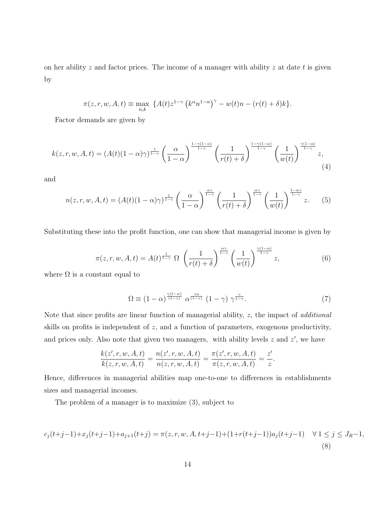on her ability *z* and factor prices. The income of a manager with ability *z* at date *t* is given by

$$
\pi(z,r,w,A,t) \equiv \max_{n,k} \ \{A(t)z^{1-\gamma}\left(k^{\alpha}n^{1-\alpha}\right)^{\gamma} - w(t)n - (r(t)+\delta)k\}.
$$

Factor demands are given by

$$
k(z,r,w,A,t) = (A(t)(1-\alpha)\gamma)^{\frac{1}{1-\gamma}} \left(\frac{\alpha}{1-\alpha}\right)^{\frac{1-\gamma(1-\alpha)}{1-\gamma}} \left(\frac{1}{r(t)+\delta}\right)^{\frac{1-\gamma(1-\alpha)}{1-\gamma}} \left(\frac{1}{w(t)}\right)^{\frac{\gamma(1-\alpha)}{1-\gamma}} z,
$$
\n(4)

and

$$
n(z,r,w,A,t) = (A(t)(1-\alpha)\gamma)^{\frac{1}{1-\gamma}} \left(\frac{\alpha}{1-\alpha}\right)^{\frac{\alpha\gamma}{1-\gamma}} \left(\frac{1}{r(t)+\delta}\right)^{\frac{\alpha\gamma}{1-\gamma}} \left(\frac{1}{w(t)}\right)^{\frac{1-\alpha\gamma}{1-\gamma}} z.
$$
 (5)

Substituting these into the profit function, one can show that managerial income is given by

$$
\pi(z,r,w,A,t) = A(t)^{\frac{1}{1-\gamma}} \Omega \left(\frac{1}{r(t)+\delta}\right)^{\frac{\alpha\gamma}{1-\gamma}} \left(\frac{1}{w(t)}\right)^{\frac{\gamma(1-\alpha)}{1-\gamma}} z,
$$
\n(6)

where  $\Omega$  is a constant equal to

$$
\Omega \equiv (1 - \alpha)^{\frac{\gamma(1 - \alpha)}{(1 - \gamma)}} \alpha^{\frac{\gamma \alpha}{(1 - \gamma)}} (1 - \gamma) \gamma^{\frac{\gamma}{1 - \gamma}}.
$$
\n(7)

Note that since profits are linear function of managerial ability, *z*, the impact of *additional* skills on profits is independent of *z*, and a function of parameters, exogenous productivity, and prices only. Also note that given two managers, with ability levels *z* and *z ′ ,* we have

$$
\frac{k(z',r,w,A,t)}{k(z,r,w,A,t)} = \frac{n(z',r,w,A,t)}{n(z,r,w,A,t)} = \frac{\pi(z',r,w,A,t)}{\pi(z,r,w,A,t)} = \frac{z'}{z}.
$$

Hence, differences in managerial abilities map one-to-one to differences in establishments sizes and managerial incomes.

The problem of a manager is to maximize (3), subject to

$$
c_j(t+j-1) + x_j(t+j-1) + a_{j+1}(t+j) = \pi(z, r, w, A, t+j-1) + (1 + r(t+j-1))a_j(t+j-1) \quad \forall 1 \le j \le J_R - 1,
$$
\n(8)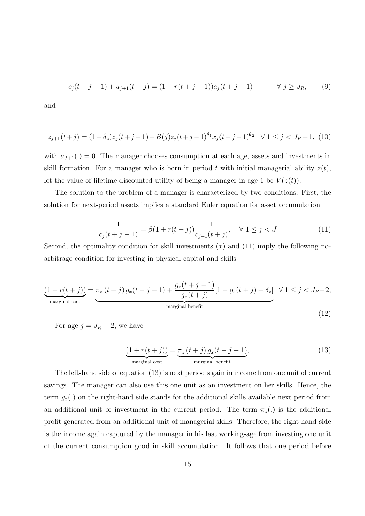$$
c_j(t+j-1) + a_{j+1}(t+j) = (1 + r(t+j-1))a_j(t+j-1) \qquad \forall j \ge J_R,
$$
 (9)

and

$$
z_{j+1}(t+j) = (1 - \delta_z)z_j(t+j-1) + B(j)z_j(t+j-1)^{\theta_1}x_j(t+j-1)^{\theta_2} \quad \forall \ 1 \le j < J_R - 1,\tag{10}
$$

with  $a_{J+1}(.) = 0$ . The manager chooses consumption at each age, assets and investments in skill formation. For a manager who is born in period t with initial managerial ability  $z(t)$ , let the value of lifetime discounted utility of being a manager in age 1 be  $V(z(t))$ .

The solution to the problem of a manager is characterized by two conditions. First, the solution for next-period assets implies a standard Euler equation for asset accumulation

$$
\frac{1}{c_j(t+j-1)} = \beta(1+r(t+j))\frac{1}{c_{j+1}(t+j)}, \quad \forall \ 1 \le j < J \tag{11}
$$

Second, the optimality condition for skill investments  $(x)$  and  $(11)$  imply the following noarbitrage condition for investing in physical capital and skills

$$
\underbrace{(1+r(t+j))}_{\text{marginal cost}} = \underbrace{\pi_z(t+j) \, g_x(t+j-1) + \frac{g_x(t+j-1)}{g_x(t+j)} [1 + g_z(t+j) - \delta_z]}_{\text{marginal benefit}} \quad \forall \, 1 \leq j < J_R - 2,
$$
\n
$$
(12)
$$

For age  $j = J_R - 2$ , we have

$$
\underbrace{(1+r(t+j))}_{\text{marginal cost}} = \underbrace{\pi_z(t+j) g_x(t+j-1)}_{\text{marginal benefit}},
$$
\n(13)

The left-hand side of equation (13) is next period's gain in income from one unit of current savings. The manager can also use this one unit as an investment on her skills. Hence, the term  $g_x(.)$  on the right-hand side stands for the additional skills available next period from an additional unit of investment in the current period. The term  $\pi_z(.)$  is the additional profit generated from an additional unit of managerial skills. Therefore, the right-hand side is the income again captured by the manager in his last working-age from investing one unit of the current consumption good in skill accumulation. It follows that one period before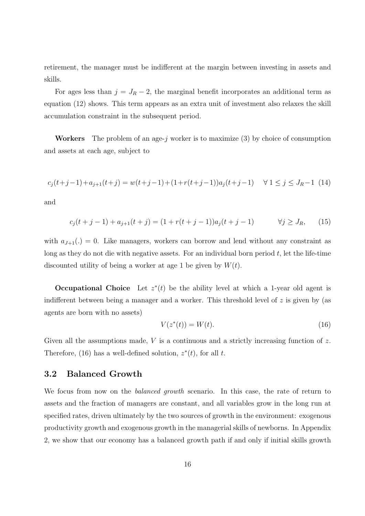retirement, the manager must be indifferent at the margin between investing in assets and skills.

For ages less than  $j = J_R - 2$ , the marginal benefit incorporates an additional term as equation (12) shows. This term appears as an extra unit of investment also relaxes the skill accumulation constraint in the subsequent period.

**Workers** The problem of an age-*j* worker is to maximize (3) by choice of consumption and assets at each age, subject to

$$
c_j(t+j-1) + a_{j+1}(t+j) = w(t+j-1) + (1 + r(t+j-1))a_j(t+j-1) \quad \forall 1 \le j \le J_R - 1 \tag{14}
$$

and

$$
c_j(t+j-1) + a_{j+1}(t+j) = (1 + r(t+j-1))a_j(t+j-1) \qquad \forall j \ge J_R, \qquad (15)
$$

with  $a_{J+1}(\cdot) = 0$ . Like managers, workers can borrow and lend without any constraint as long as they do not die with negative assets. For an individual born period *t,* let the life-time discounted utility of being a worker at age 1 be given by *W*(*t*).

**Occupational Choice** Let  $z^*(t)$  be the ability level at which a 1-year old agent is indifferent between being a manager and a worker. This threshold level of *z* is given by (as agents are born with no assets)

$$
V(z^*(t)) = W(t). \tag{16}
$$

Given all the assumptions made, V is a continuous and a strictly increasing function of z. Therefore, (16) has a well-defined solution,  $z^*(t)$ , for all  $t$ .

#### **3.2 Balanced Growth**

We focus from now on the *balanced growth* scenario. In this case, the rate of return to assets and the fraction of managers are constant, and all variables grow in the long run at specified rates, driven ultimately by the two sources of growth in the environment: exogenous productivity growth and exogenous growth in the managerial skills of newborns. In Appendix 2, we show that our economy has a balanced growth path if and only if initial skills growth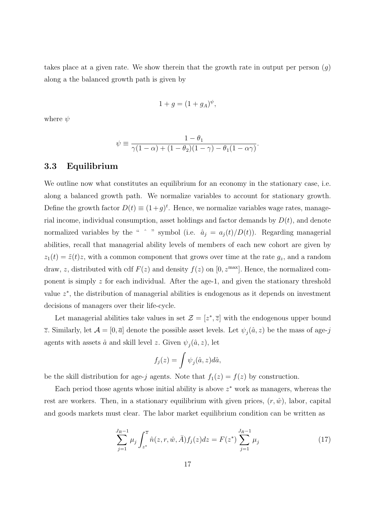takes place at a given rate. We show therein that the growth rate in output per person (*g*) along a the balanced growth path is given by

$$
1+g=(1+g_A)^{\psi},
$$

where *ψ*

$$
\psi \equiv \frac{1 - \theta_1}{\gamma (1 - \alpha) + (1 - \theta_2)(1 - \gamma) - \theta_1 (1 - \alpha \gamma)}.
$$

#### **3.3 Equilibrium**

We outline now what constitutes an equilibrium for an economy in the stationary case, i.e. along a balanced growth path. We normalize variables to account for stationary growth. Define the growth factor  $D(t) \equiv (1+g)^t$ . Hence, we normalize variables wage rates, managerial income, individual consumption, asset holdings and factor demands by  $D(t)$ , and denote normalized variables by the "  $\hat{ }$  " symbol (i.e.  $\hat{a}_j = a_j(t)/D(t)$ ). Regarding managerial abilities, recall that managerial ability levels of members of each new cohort are given by  $z_1(t) = \tilde{z}(t)z$ , with a common component that grows over time at the rate  $g_z$ , and a random draw, *z*, distributed with cdf  $F(z)$  and density  $f(z)$  on [0,  $z^{\text{max}}$ ]. Hence, the normalized component is simply *z* for each individual. After the age-1, and given the stationary threshold value *z ∗* , the distribution of managerial abilities is endogenous as it depends on investment decisions of managers over their life-cycle.

Let managerial abilities take values in set  $\mathcal{Z} = [z^*, \overline{z}]$  with the endogenous upper bound *z*. Similarly, let  $\mathcal{A} = [0, \overline{a}]$  denote the possible asset levels. Let  $\psi_j(\hat{a}, z)$  be the mass of age-*j* agents with assets  $\hat{a}$  and skill level *z*. Given  $\psi_j(\hat{a}, z)$ , let

$$
f_j(z) = \int \psi_j(\hat{a}, z) d\hat{a},
$$

be the skill distribution for age-*j* agents. Note that  $f_1(z) = f(z)$  by construction.

Each period those agents whose initial ability is above *z <sup>∗</sup>* work as managers, whereas the rest are workers. Then, in a stationary equilibrium with given prices,  $(r, \hat{w})$ , labor, capital and goods markets must clear. The labor market equilibrium condition can be written as

$$
\sum_{j=1}^{J_R-1} \mu_j \int_{z^*}^{\overline{z}} \hat{n}(z, r, \hat{w}, \bar{A}) f_j(z) dz = F(z^*) \sum_{j=1}^{J_R-1} \mu_j
$$
 (17)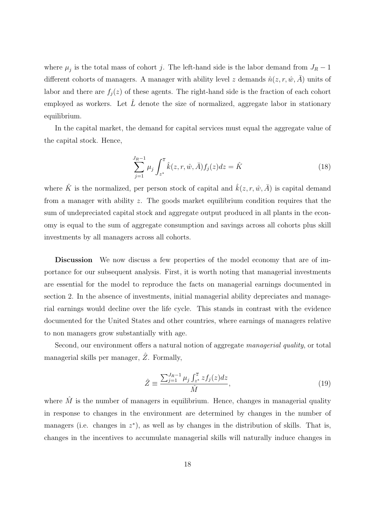where  $\mu_j$  is the total mass of cohort *j*. The left-hand side is the labor demand from  $J_R - 1$ different cohorts of managers. A manager with ability level *z* demands  $\hat{n}(z, r, \hat{w}, \bar{A})$  units of labor and there are  $f_i(z)$  of these agents. The right-hand side is the fraction of each cohort employed as workers. Let  $\hat{L}$  denote the size of normalized, aggregate labor in stationary equilibrium.

In the capital market, the demand for capital services must equal the aggregate value of the capital stock. Hence,

$$
\sum_{j=1}^{J_R-1} \mu_j \int_{z^*}^{\overline{z}} \hat{k}(z, r, \hat{w}, \bar{A}) f_j(z) dz = \hat{K}
$$
 (18)

where  $\hat{K}$  is the normalized, per person stock of capital and  $\hat{k}(z, r, \hat{w}, \bar{A})$  is capital demand from a manager with ability *z*. The goods market equilibrium condition requires that the sum of undepreciated capital stock and aggregate output produced in all plants in the economy is equal to the sum of aggregate consumption and savings across all cohorts plus skill investments by all managers across all cohorts.

**Discussion** We now discuss a few properties of the model economy that are of importance for our subsequent analysis. First, it is worth noting that managerial investments are essential for the model to reproduce the facts on managerial earnings documented in section 2. In the absence of investments, initial managerial ability depreciates and managerial earnings would decline over the life cycle. This stands in contrast with the evidence documented for the United States and other countries, where earnings of managers relative to non managers grow substantially with age.

Second, our environment offers a natural notion of aggregate *managerial quality*, or total managerial skills per manager,  $\hat{Z}$ . Formally,

$$
\hat{Z} \equiv \frac{\sum_{j=1}^{J_R - 1} \mu_j \int_{z^*}^{\overline{z}} z f_j(z) dz}{\hat{M}},
$$
\n(19)

where  $\hat{M}$  is the number of managers in equilibrium. Hence, changes in managerial quality in response to changes in the environment are determined by changes in the number of managers (i.e. changes in  $z^*$ ), as well as by changes in the distribution of skills. That is, changes in the incentives to accumulate managerial skills will naturally induce changes in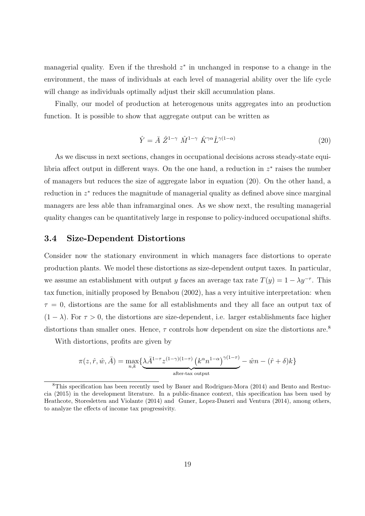managerial quality. Even if the threshold *z ∗* in unchanged in response to a change in the environment, the mass of individuals at each level of managerial ability over the life cycle will change as individuals optimally adjust their skill accumulation plans.

Finally, our model of production at heterogenous units aggregates into an production function. It is possible to show that aggregate output can be written as

$$
\hat{Y} = \bar{A} \; \hat{Z}^{1-\gamma} \; \hat{M}^{1-\gamma} \; \hat{K}^{\gamma\alpha} \hat{L}^{\gamma(1-\alpha)} \tag{20}
$$

As we discuss in next sections, changes in occupational decisions across steady-state equilibria affect output in different ways. On the one hand, a reduction in *z ∗* raises the number of managers but reduces the size of aggregate labor in equation (20). On the other hand, a reduction in z<sup>\*</sup> reduces the magnitude of managerial quality as defined above since marginal managers are less able than inframarginal ones. As we show next, the resulting managerial quality changes can be quantitatively large in response to policy-induced occupational shifts.

#### **3.4 Size-Dependent Distortions**

Consider now the stationary environment in which managers face distortions to operate production plants. We model these distortions as size-dependent output taxes. In particular, we assume an establishment with output *y* faces an average tax rate  $T(y) = 1 - \lambda y^{-\tau}$ . This tax function, initially proposed by Benabou (2002), has a very intuitive interpretation: when  $\tau = 0$ , distortions are the same for all establishments and they all face an output tax of  $(1 - \lambda)$ . For  $\tau > 0$ , the distortions are size-dependent, i.e. larger establishments face higher distortions than smaller ones. Hence,  $\tau$  controls how dependent on size the distortions are.<sup>8</sup>

With distortions, profits are given by

$$
\pi(z, \hat{r}, \hat{w}, \bar{A}) = \max_{n,k} \{ \underbrace{\lambda \bar{A}^{1-\tau} z^{(1-\gamma)(1-\tau)}}_{\text{after-tax output}} \left( k^{\alpha} n^{1-\alpha} \right)^{\gamma(1-\tau)} - \hat{w}n - (\hat{r} + \delta)k \}
$$

<sup>8</sup>This specification has been recently used by Bauer and Rodriguez-Mora (2014) and Bento and Restuccia (2015) in the development literature. In a public-finance context, this specification has been used by Heathcote, Storesletten and Violante (2014) and Guner, Lopez-Daneri and Ventura (2014), among others, to analyze the effects of income tax progressivity.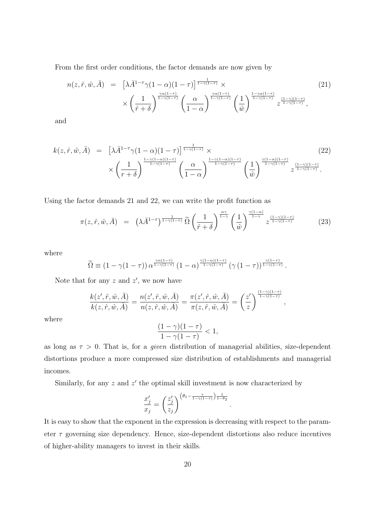From the first order conditions, the factor demands are now given by

$$
n(z, \hat{r}, \hat{w}, \bar{A}) = \left[\lambda \bar{A}^{1-\tau} \gamma (1-\alpha)(1-\tau)\right]^{\frac{1}{1-\gamma(1-\tau)}} \times \times \left(\frac{1}{\hat{r}+\delta}\right)^{\frac{\gamma\alpha(1-\tau)}{1-\gamma(1-\tau)}} \left(\frac{\alpha}{1-\alpha}\right)^{\frac{\gamma\alpha(1-\tau)}{1-\gamma(1-\tau)}} \left(\frac{1}{\hat{w}}\right)^{\frac{1-\gamma\alpha(1-\tau)}{1-\gamma(1-\tau)}} z^{\frac{(1-\gamma)(1-\tau)}{1-\gamma(1-\tau)}},
$$
\n(21)

and

$$
k(z,\hat{r},\hat{w},\bar{A}) = \left[\lambda \bar{A}^{1-\tau} \gamma (1-\alpha)(1-\tau)\right]^{\frac{1}{1-\gamma(1-\tau)}} \times (22)
$$
  
 
$$
\times \left(\frac{1}{r+\delta}\right)^{\frac{1-\gamma(1-\alpha)(1-\tau)}{1-\gamma(1-\tau)}} \left(\frac{\alpha}{1-\alpha}\right)^{\frac{1-\gamma(1-\alpha)(1-\tau)}{1-\gamma(1-\tau)}} \left(\frac{1}{\hat{w}}\right)^{\frac{\gamma(1-\alpha)(1-\tau)}{1-\gamma(1-\tau)}} z^{\frac{(1-\gamma)(1-\tau)}{1-\gamma(1-\tau)}}.
$$

Using the factor demands 21 and 22, we can write the profit function as

$$
\pi(z,\hat{r},\hat{w},\bar{A}) = (\lambda \bar{A}^{1-\tau})^{\frac{1}{1-\gamma(1-\tau)}} \tilde{\Omega} \left(\frac{1}{\hat{r}+\delta}\right)^{\frac{\alpha\gamma}{1-\gamma}} \left(\frac{1}{\hat{w}}\right)^{\frac{\gamma(1-\alpha)}{1-\gamma}} z^{\frac{(1-\gamma)(1-\tau)}{1-\gamma(1-\tau)}} \tag{23}
$$

where

$$
\widetilde{\Omega} \equiv (1 - \gamma (1 - \tau)) \alpha^{\frac{\gamma \alpha (1 - \tau)}{1 - \gamma (1 - \tau)}} (1 - \alpha)^{\frac{\gamma (1 - \alpha)(1 - \tau)}{1 - \gamma (1 - \tau)}} (\gamma (1 - \tau))^{\frac{\gamma (1 - \tau)}{1 - \gamma (1 - \tau)}}.
$$

Note that for any *z* and *z ′ ,* we now have

$$
\frac{k(z',\hat{r},\hat{w},\bar{A})}{k(z,\hat{r},\hat{w},\bar{A})} = \frac{n(z',\hat{r},\hat{w},\bar{A})}{n(z,\hat{r},\hat{w},\bar{A})} = \frac{\pi(z',\hat{r},\hat{w},\bar{A})}{\pi(z,\hat{r},\hat{w},\bar{A})} = \left(\frac{z'}{z}\right)^{\frac{(1-\gamma)(1-\tau)}{1-\gamma(1-\tau)}},
$$

where

$$
\frac{(1-\gamma)(1-\tau)}{1-\gamma(1-\tau)} < 1,
$$

as long as  $\tau > 0$ . That is, for a *given* distribution of managerial abilities, size-dependent distortions produce a more compressed size distribution of establishments and managerial incomes.

Similarly, for any *z* and *z'* the optimal skill investment is now characterized by

$$
\frac{x_j'}{x_j} = \left(\frac{z_j'}{z_j}\right)^{\left(\theta_1 - \frac{\tau}{1 - \gamma(1 - \tau)}\right)\frac{1}{1 - \theta_2}}.
$$

It is easy to show that the exponent in the expression is decreasing with respect to the parameter  $\tau$  governing size dependency. Hence, size-dependent distortions also reduce incentives of higher-ability managers to invest in their skills.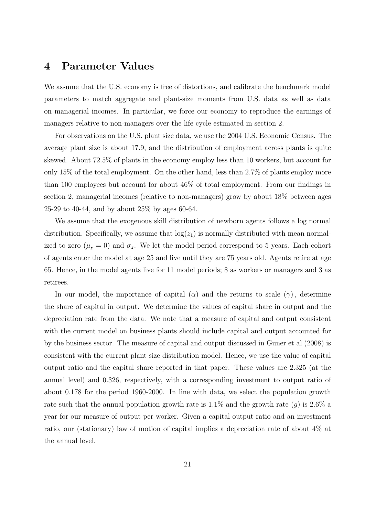### **4 Parameter Values**

We assume that the U.S. economy is free of distortions, and calibrate the benchmark model parameters to match aggregate and plant-size moments from U.S. data as well as data on managerial incomes. In particular, we force our economy to reproduce the earnings of managers relative to non-managers over the life cycle estimated in section 2.

For observations on the U.S. plant size data, we use the 2004 U.S. Economic Census. The average plant size is about 17.9, and the distribution of employment across plants is quite skewed. About 72.5% of plants in the economy employ less than 10 workers, but account for only 15% of the total employment. On the other hand, less than 2.7% of plants employ more than 100 employees but account for about 46% of total employment. From our findings in section 2, managerial incomes (relative to non-managers) grow by about 18% between ages 25-29 to 40-44, and by about 25% by ages 60-64.

We assume that the exogenous skill distribution of newborn agents follows a log normal distribution. Specifically, we assume that  $log(z_1)$  is normally distributed with mean normalized to zero ( $\mu_z = 0$ ) and  $\sigma_z$ . We let the model period correspond to 5 years. Each cohort of agents enter the model at age 25 and live until they are 75 years old. Agents retire at age 65. Hence, in the model agents live for 11 model periods; 8 as workers or managers and 3 as retirees.

In our model, the importance of capital ( $\alpha$ ) and the returns to scale ( $\gamma$ ), determine the share of capital in output. We determine the values of capital share in output and the depreciation rate from the data. We note that a measure of capital and output consistent with the current model on business plants should include capital and output accounted for by the business sector. The measure of capital and output discussed in Guner et al (2008) is consistent with the current plant size distribution model. Hence, we use the value of capital output ratio and the capital share reported in that paper. These values are 2.325 (at the annual level) and 0.326, respectively, with a corresponding investment to output ratio of about 0.178 for the period 1960-2000. In line with data, we select the population growth rate such that the annual population growth rate is  $1.1\%$  and the growth rate (*g*) is 2.6% a year for our measure of output per worker. Given a capital output ratio and an investment ratio, our (stationary) law of motion of capital implies a depreciation rate of about 4% at the annual level.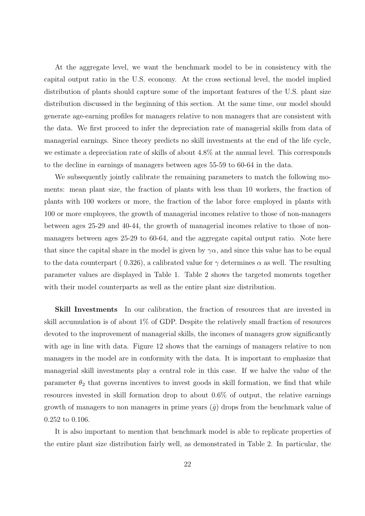At the aggregate level, we want the benchmark model to be in consistency with the capital output ratio in the U.S. economy. At the cross sectional level, the model implied distribution of plants should capture some of the important features of the U.S. plant size distribution discussed in the beginning of this section. At the same time, our model should generate age-earning profiles for managers relative to non managers that are consistent with the data. We first proceed to infer the depreciation rate of managerial skills from data of managerial earnings. Since theory predicts no skill investments at the end of the life cycle, we estimate a depreciation rate of skills of about 4.8% at the annual level. This corresponds to the decline in earnings of managers between ages 55-59 to 60-64 in the data.

We subsequently jointly calibrate the remaining parameters to match the following moments: mean plant size, the fraction of plants with less than 10 workers, the fraction of plants with 100 workers or more, the fraction of the labor force employed in plants with 100 or more employees, the growth of managerial incomes relative to those of non-managers between ages 25-29 and 40-44, the growth of managerial incomes relative to those of nonmanagers between ages 25-29 to 60-64, and the aggregate capital output ratio. Note here that since the capital share in the model is given by  $\gamma \alpha$ , and since this value has to be equal to the data counterpart (  $0.326$ ), a calibrated value for  $\gamma$  determines  $\alpha$  as well. The resulting parameter values are displayed in Table 1. Table 2 shows the targeted moments together with their model counterparts as well as the entire plant size distribution.

**Skill Investments** In our calibration, the fraction of resources that are invested in skill accumulation is of about 1% of GDP. Despite the relatively small fraction of resources devoted to the improvement of managerial skills, the incomes of managers grow significantly with age in line with data. Figure 12 shows that the earnings of managers relative to non managers in the model are in conformity with the data. It is important to emphasize that managerial skill investments play a central role in this case. If we halve the value of the parameter  $\theta_2$  that governs incentives to invest goods in skill formation, we find that while resources invested in skill formation drop to about 0.6% of output, the relative earnings growth of managers to non managers in prime years  $(\hat{q})$  drops from the benchmark value of 0.252 to 0.106.

It is also important to mention that benchmark model is able to replicate properties of the entire plant size distribution fairly well, as demonstrated in Table 2. In particular, the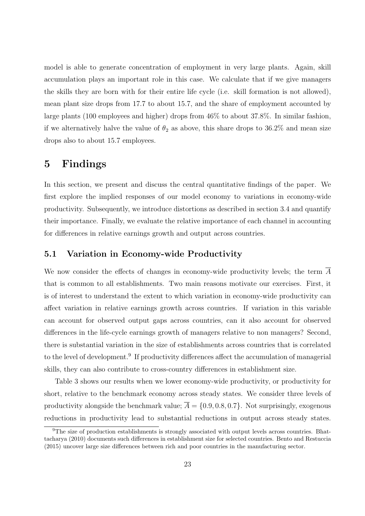model is able to generate concentration of employment in very large plants. Again, skill accumulation plays an important role in this case. We calculate that if we give managers the skills they are born with for their entire life cycle (i.e. skill formation is not allowed), mean plant size drops from 17.7 to about 15.7, and the share of employment accounted by large plants (100 employees and higher) drops from 46% to about 37.8%. In similar fashion, if we alternatively halve the value of  $\theta_2$  as above, this share drops to 36.2% and mean size drops also to about 15.7 employees.

### **5 Findings**

In this section, we present and discuss the central quantitative findings of the paper. We first explore the implied responses of our model economy to variations in economy-wide productivity. Subsequently, we introduce distortions as described in section 3.4 and quantify their importance. Finally, we evaluate the relative importance of each channel in accounting for differences in relative earnings growth and output across countries.

#### **5.1 Variation in Economy-wide Productivity**

We now consider the effects of changes in economy-wide productivity levels; the term *A* that is common to all establishments. Two main reasons motivate our exercises. First, it is of interest to understand the extent to which variation in economy-wide productivity can affect variation in relative earnings growth across countries. If variation in this variable can account for observed output gaps across countries, can it also account for observed differences in the life-cycle earnings growth of managers relative to non managers? Second, there is substantial variation in the size of establishments across countries that is correlated to the level of development.<sup>9</sup> If productivity differences affect the accumulation of managerial skills, they can also contribute to cross-country differences in establishment size.

Table 3 shows our results when we lower economy-wide productivity, or productivity for short, relative to the benchmark economy across steady states. We consider three levels of productivity alongside the benchmark value;  $\overline{A} = \{0.9, 0.8, 0.7\}$ . Not surprisingly, exogenous reductions in productivity lead to substantial reductions in output across steady states.

<sup>9</sup>The size of production establishments is strongly associated with output levels across countries. Bhattacharya (2010) documents such differences in establishment size for selected countries. Bento and Restuccia (2015) uncover large size differences between rich and poor countries in the manufacturing sector.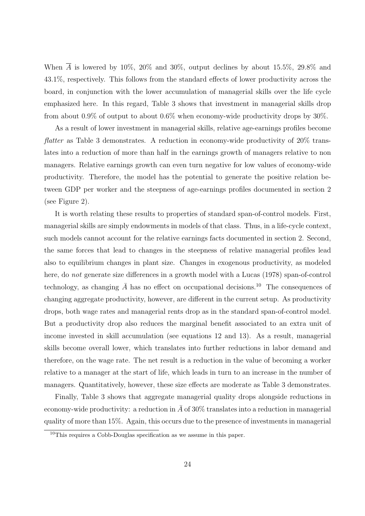When  $\overline{A}$  is lowered by 10%, 20% and 30%, output declines by about 15.5%, 29.8% and 43.1%, respectively. This follows from the standard effects of lower productivity across the board, in conjunction with the lower accumulation of managerial skills over the life cycle emphasized here. In this regard, Table 3 shows that investment in managerial skills drop from about 0.9% of output to about 0.6% when economy-wide productivity drops by 30%.

As a result of lower investment in managerial skills, relative age-earnings profiles become *flatter* as Table 3 demonstrates. A reduction in economy-wide productivity of 20% translates into a reduction of more than half in the earnings growth of managers relative to non managers. Relative earnings growth can even turn negative for low values of economy-wide productivity. Therefore, the model has the potential to generate the positive relation between GDP per worker and the steepness of age-earnings profiles documented in section 2 (see Figure 2).

It is worth relating these results to properties of standard span-of-control models. First, managerial skills are simply endowments in models of that class. Thus, in a life-cycle context, such models cannot account for the relative earnings facts documented in section 2. Second, the same forces that lead to changes in the steepness of relative managerial profiles lead also to equilibrium changes in plant size. Changes in exogenous productivity, as modeled here, do *not* generate size differences in a growth model with a Lucas (1978) span-of-control technology, as changing  $\overline{A}$  has no effect on occupational decisions.<sup>10</sup> The consequences of changing aggregate productivity, however, are different in the current setup. As productivity drops, both wage rates and managerial rents drop as in the standard span-of-control model. But a productivity drop also reduces the marginal benefit associated to an extra unit of income invested in skill accumulation (see equations 12 and 13). As a result, managerial skills become overall lower, which translates into further reductions in labor demand and therefore, on the wage rate. The net result is a reduction in the value of becoming a worker relative to a manager at the start of life, which leads in turn to an increase in the number of managers. Quantitatively, however, these size effects are moderate as Table 3 demonstrates.

Finally, Table 3 shows that aggregate managerial quality drops alongside reductions in economy-wide productivity: a reduction in *A* of 30% translates into a reduction in managerial quality of more than 15%. Again, this occurs due to the presence of investments in managerial

<sup>10</sup>This requires a Cobb-Douglas specification as we assume in this paper.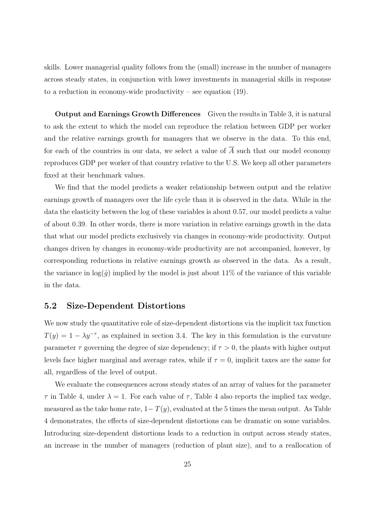skills. Lower managerial quality follows from the (small) increase in the number of managers across steady states, in conjunction with lower investments in managerial skills in response to a reduction in economy-wide productivity – see equation (19).

**Output and Earnings Growth Differences** Given the results in Table 3, it is natural to ask the extent to which the model can reproduce the relation between GDP per worker and the relative earnings growth for managers that we observe in the data. To this end, for each of the countries in our data, we select a value of  $\overline{A}$  such that our model economy reproduces GDP per worker of that country relative to the U.S. We keep all other parameters fixed at their benchmark values.

We find that the model predicts a weaker relationship between output and the relative earnings growth of managers over the life cycle than it is observed in the data. While in the data the elasticity between the log of these variables is about 0.57, our model predicts a value of about 0.39. In other words, there is more variation in relative earnings growth in the data that what our model predicts exclusively via changes in economy-wide productivity. Output changes driven by changes in economy-wide productivity are not accompanied, however, by corresponding reductions in relative earnings growth as observed in the data. As a result, the variance in  $log(\hat{q})$  implied by the model is just about 11% of the variance of this variable in the data.

#### **5.2 Size-Dependent Distortions**

We now study the quantitative role of size-dependent distortions via the implicit tax function  $T(y) = 1 - \lambda y^{-\tau}$ , as explained in section 3.4. The key in this formulation is the curvature parameter  $\tau$  governing the degree of size dependency; if  $\tau > 0$ , the plants with higher output levels face higher marginal and average rates, while if  $\tau = 0$ , implicit taxes are the same for all, regardless of the level of output.

We evaluate the consequences across steady states of an array of values for the parameter *τ* in Table 4, under *λ* = 1. For each value of *τ,* Table 4 also reports the implied tax wedge, measured as the take home rate,  $1 - T(y)$ , evaluated at the 5 times the mean output. As Table 4 demonstrates, the effects of size-dependent distortions can be dramatic on some variables. Introducing size-dependent distortions leads to a reduction in output across steady states, an increase in the number of managers (reduction of plant size), and to a reallocation of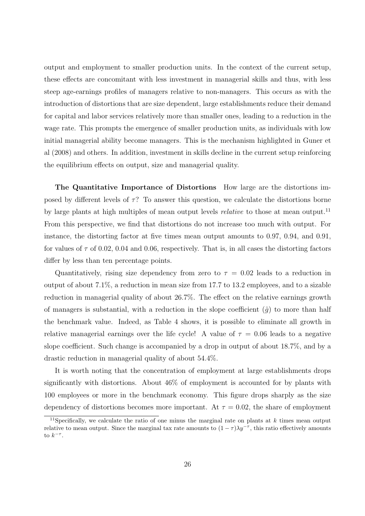output and employment to smaller production units. In the context of the current setup, these effects are concomitant with less investment in managerial skills and thus, with less steep age-earnings profiles of managers relative to non-managers. This occurs as with the introduction of distortions that are size dependent, large establishments reduce their demand for capital and labor services relatively more than smaller ones, leading to a reduction in the wage rate. This prompts the emergence of smaller production units, as individuals with low initial managerial ability become managers. This is the mechanism highlighted in Guner et al (2008) and others. In addition, investment in skills decline in the current setup reinforcing the equilibrium effects on output, size and managerial quality.

**The Quantitative Importance of Distortions** How large are the distortions imposed by different levels of  $\tau$ ? To answer this question, we calculate the distortions borne by large plants at high multiples of mean output levels *relative* to those at mean output.<sup>11</sup> From this perspective, we find that distortions do not increase too much with output. For instance, the distorting factor at five times mean output amounts to 0.97, 0.94, and 0.91, for values of  $\tau$  of 0.02, 0.04 and 0.06, respectively. That is, in all cases the distorting factors differ by less than ten percentage points.

Quantitatively, rising size dependency from zero to  $\tau = 0.02$  leads to a reduction in output of about 7.1%, a reduction in mean size from 17.7 to 13.2 employees, and to a sizable reduction in managerial quality of about 26.7%. The effect on the relative earnings growth of managers is substantial, with a reduction in the slope coefficient  $(\hat{q})$  to more than half the benchmark value. Indeed, as Table 4 shows, it is possible to eliminate all growth in relative managerial earnings over the life cycle! A value of  $\tau = 0.06$  leads to a negative slope coefficient. Such change is accompanied by a drop in output of about 18.7%, and by a drastic reduction in managerial quality of about 54.4%.

It is worth noting that the concentration of employment at large establishments drops significantly with distortions. About 46% of employment is accounted for by plants with 100 employees or more in the benchmark economy. This figure drops sharply as the size dependency of distortions becomes more important. At  $\tau = 0.02$ , the share of employment

<sup>&</sup>lt;sup>11</sup>Specifically, we calculate the ratio of one minus the marginal rate on plants at  $k$  times mean output relative to mean output. Since the marginal tax rate amounts to  $(1 - \tau)\lambda y^{-\tau}$ , this ratio effectively amounts to  $k^{-\tau}$ .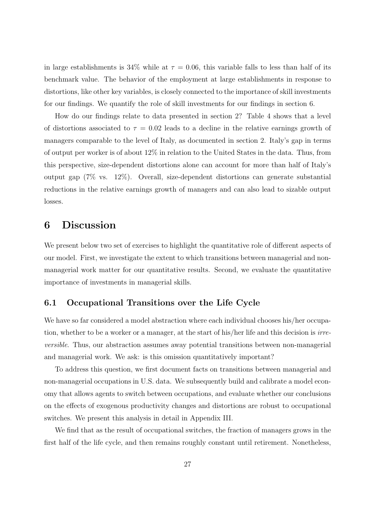in large establishments is  $34\%$  while at  $\tau = 0.06$ , this variable falls to less than half of its benchmark value. The behavior of the employment at large establishments in response to distortions, like other key variables, is closely connected to the importance of skill investments for our findings. We quantify the role of skill investments for our findings in section 6.

How do our findings relate to data presented in section 2? Table 4 shows that a level of distortions associated to  $\tau = 0.02$  leads to a decline in the relative earnings growth of managers comparable to the level of Italy, as documented in section 2. Italy's gap in terms of output per worker is of about 12% in relation to the United States in the data. Thus, from this perspective, size-dependent distortions alone can account for more than half of Italy's output gap (7% vs. 12%). Overall, size-dependent distortions can generate substantial reductions in the relative earnings growth of managers and can also lead to sizable output losses.

### **6 Discussion**

We present below two set of exercises to highlight the quantitative role of different aspects of our model. First, we investigate the extent to which transitions between managerial and nonmanagerial work matter for our quantitative results. Second, we evaluate the quantitative importance of investments in managerial skills.

#### **6.1 Occupational Transitions over the Life Cycle**

We have so far considered a model abstraction where each individual chooses his/her occupation, whether to be a worker or a manager, at the start of his/her life and this decision is *irreversible*. Thus, our abstraction assumes away potential transitions between non-managerial and managerial work. We ask: is this omission quantitatively important?

To address this question, we first document facts on transitions between managerial and non-managerial occupations in U.S. data. We subsequently build and calibrate a model economy that allows agents to switch between occupations, and evaluate whether our conclusions on the effects of exogenous productivity changes and distortions are robust to occupational switches. We present this analysis in detail in Appendix III.

We find that as the result of occupational switches, the fraction of managers grows in the first half of the life cycle, and then remains roughly constant until retirement. Nonetheless,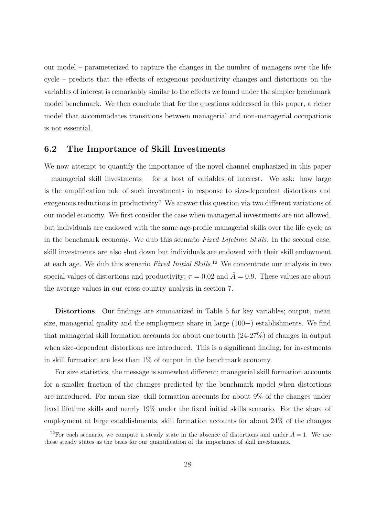our model – parameterized to capture the changes in the number of managers over the life cycle – predicts that the effects of exogenous productivity changes and distortions on the variables of interest is remarkably similar to the effects we found under the simpler benchmark model benchmark. We then conclude that for the questions addressed in this paper, a richer model that accommodates transitions between managerial and non-managerial occupations is not essential.

#### **6.2 The Importance of Skill Investments**

We now attempt to quantify the importance of the novel channel emphasized in this paper – managerial skill investments – for a host of variables of interest. We ask: how large is the amplification role of such investments in response to size-dependent distortions and exogenous reductions in productivity? We answer this question via two different variations of our model economy. We first consider the case when managerial investments are not allowed, but individuals are endowed with the same age-profile managerial skills over the life cycle as in the benchmark economy. We dub this scenario *Fixed Lifetime Skills*. In the second case, skill investments are also shut down but individuals are endowed with their skill endowment at each age. We dub this scenario *Fixed Initial Skills*. <sup>12</sup> We concentrate our analysis in two special values of distortions and productivity;  $\tau = 0.02$  and  $\overline{A} = 0.9$ . These values are about the average values in our cross-country analysis in section 7.

**Distortions** Our findings are summarized in Table 5 for key variables; output, mean size, managerial quality and the employment share in large  $(100+)$  establishments. We find that managerial skill formation accounts for about one fourth (24-27%) of changes in output when size-dependent distortions are introduced. This is a significant finding, for investments in skill formation are less than  $1\%$  of output in the benchmark economy.

For size statistics, the message is somewhat different; managerial skill formation accounts for a smaller fraction of the changes predicted by the benchmark model when distortions are introduced. For mean size, skill formation accounts for about 9% of the changes under fixed lifetime skills and nearly 19% under the fixed initial skills scenario. For the share of employment at large establishments, skill formation accounts for about 24% of the changes

<sup>&</sup>lt;sup>12</sup>For each scenario, we compute a steady state in the absence of distortions and under  $\bar{A} = 1$ . We use these steady states as the basis for our quantification of the importance of skill investments.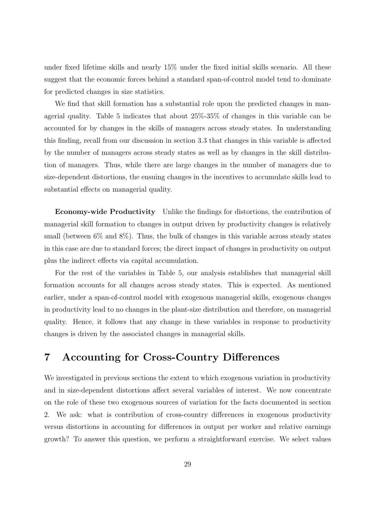under fixed lifetime skills and nearly 15% under the fixed initial skills scenario. All these suggest that the economic forces behind a standard span-of-control model tend to dominate for predicted changes in size statistics.

We find that skill formation has a substantial role upon the predicted changes in managerial quality. Table 5 indicates that about 25%-35% of changes in this variable can be accounted for by changes in the skills of managers across steady states. In understanding this finding, recall from our discussion in section 3.3 that changes in this variable is affected by the number of managers across steady states as well as by changes in the skill distribution of managers. Thus, while there are large changes in the number of managers due to size-dependent distortions, the ensuing changes in the incentives to accumulate skills lead to substantial effects on managerial quality.

**Economy-wide Productivity** Unlike the findings for distortions, the contribution of managerial skill formation to changes in output driven by productivity changes is relatively small (between 6% and 8%). Thus, the bulk of changes in this variable across steady states in this case are due to standard forces; the direct impact of changes in productivity on output plus the indirect effects via capital accumulation.

For the rest of the variables in Table 5, our analysis establishes that managerial skill formation accounts for all changes across steady states. This is expected. As mentioned earlier, under a span-of-control model with exogenous managerial skills, exogenous changes in productivity lead to no changes in the plant-size distribution and therefore, on managerial quality. Hence, it follows that any change in these variables in response to productivity changes is driven by the associated changes in managerial skills.

### **7 Accounting for Cross-Country Differences**

We investigated in previous sections the extent to which exogenous variation in productivity and in size-dependent distortions affect several variables of interest. We now concentrate on the role of these two exogenous sources of variation for the facts documented in section 2. We ask: what is contribution of cross-country differences in exogenous productivity versus distortions in accounting for differences in output per worker and relative earnings growth? To answer this question, we perform a straightforward exercise. We select values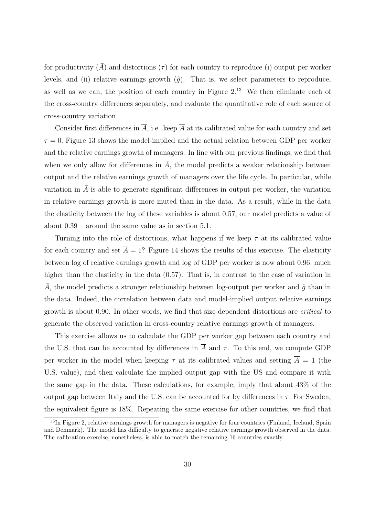for productivity  $(\overline{A})$  and distortions  $(\tau)$  for each country to reproduce (i) output per worker levels, and (ii) relative earnings growth  $(\hat{q})$ . That is, we select parameters to reproduce, as well as we can, the position of each country in Figure  $2^{13}$  We then eliminate each of the cross-country differences separately, and evaluate the quantitative role of each source of cross-country variation.

Consider first differences in  $\overline{A}$ , i.e. keep  $\overline{A}$  at its calibrated value for each country and set  $\tau = 0$ . Figure 13 shows the model-implied and the actual relation between GDP per worker and the relative earnings growth of managers. In line with our previous findings, we find that when we only allow for differences in  $\overline{A}$ , the model predicts a weaker relationship between output and the relative earnings growth of managers over the life cycle. In particular, while variation in  $\overline{A}$  is able to generate significant differences in output per worker, the variation in relative earnings growth is more muted than in the data. As a result, while in the data the elasticity between the log of these variables is about 0.57, our model predicts a value of about 0.39 – around the same value as in section 5.1.

Turning into the role of distortions, what happens if we keep *τ* at its calibrated value for each country and set  $\overline{A} = 1$ ? Figure 14 shows the results of this exercise. The elasticity between log of relative earnings growth and log of GDP per worker is now about 0.96, much higher than the elasticity in the data  $(0.57)$ . That is, in contrast to the case of variation in *A*, the model predicts a stronger relationship between log-output per worker and  $\hat{q}$  than in the data. Indeed, the correlation between data and model-implied output relative earnings growth is about 0.90. In other words, we find that size-dependent distortions are *critical* to generate the observed variation in cross-country relative earnings growth of managers.

This exercise allows us to calculate the GDP per worker gap between each country and the U.S. that can be accounted by differences in  $\overline{A}$  and  $\tau$ . To this end, we compute GDP per worker in the model when keeping  $\tau$  at its calibrated values and setting  $\overline{A} = 1$  (the U.S. value), and then calculate the implied output gap with the US and compare it with the same gap in the data. These calculations, for example, imply that about 43% of the output gap between Italy and the U.S. can be accounted for by differences in  $\tau$ . For Sweden, the equivalent figure is 18%. Repeating the same exercise for other countries, we find that

 $13$ In Figure 2, relative earnings growth for managers is negative for four countries (Finland, Iceland, Spain and Denmark). The model has difficulty to generate negative relative earnings growth observed in the data. The calibration exercise, nonetheless, is able to match the remaining 16 countries exactly.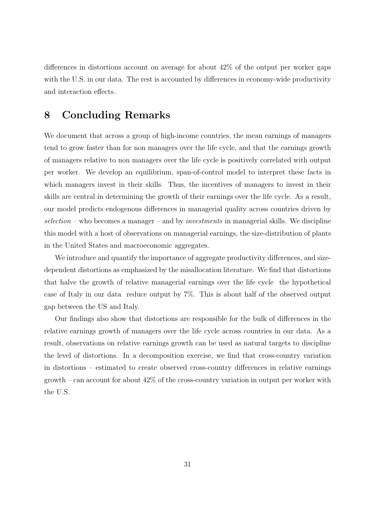differences in distortions account on average for about 42% of the output per worker gaps with the U.S. in our data. The rest is accounted by differences in economy-wide productivity and interaction effects.

### **8 Concluding Remarks**

We document that across a group of high-income countries, the mean earnings of managers tend to grow faster than for non managers over the life cycle, and that the earnings growth of managers relative to non managers over the life cycle is positively correlated with output per worker. We develop an equilibrium, span-of-control model to interpret these facts in which managers invest in their skills. Thus, the incentives of managers to invest in their skills are central in determining the growth of their earnings over the life cycle. As a result, our model predicts endogenous differences in managerial quality across countries driven by *selection* – who becomes a manager – and by *investments* in managerial skills. We discipline this model with a host of observations on managerial earnings, the size-distribution of plants in the United States and macroeconomic aggregates.

We introduce and quantify the importance of aggregate productivity differences, and sizedependent distortions as emphasized by the misallocation literature. We find that distortions that halve the growth of relative managerial earnings over the life cycle the hypothetical case of Italy in our data reduce output by 7%. This is about half of the observed output gap between the US and Italy.

Our findings also show that distortions are responsible for the bulk of differences in the relative earnings growth of managers over the life cycle across countries in our data. As a result, observations on relative earnings growth can be used as natural targets to discipline the level of distortions. In a decomposition exercise, we find that cross-country variation in distortions – estimated to create observed cross-country differences in relative earnings growth – can account for about  $42\%$  of the cross-country variation in output per worker with the U.S.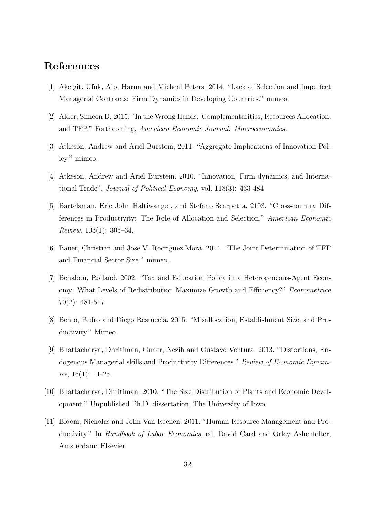### **References**

- [1] Akcigit, Ufuk, Alp, Harun and Micheal Peters. 2014. "Lack of Selection and Imperfect Managerial Contracts: Firm Dynamics in Developing Countries." mimeo.
- [2] Alder, Simeon D. 2015. "In the Wrong Hands: Complementarities, Resources Allocation, and TFP." Forthcoming, *American Economic Journal: Macroeconomics.*
- [3] Atkeson, Andrew and Ariel Burstein, 2011. "Aggregate Implications of Innovation Policy." mimeo.
- [4] Atkeson, Andrew and Ariel Burstein. 2010. "Innovation, Firm dynamics, and International Trade". *Journal of Political Economy*, vol. 118(3): 433-484
- [5] Bartelsman, Eric John Haltiwanger, and Stefano Scarpetta. 2103. "Cross-country Differences in Productivity: The Role of Allocation and Selection." *American Economic Review*, 103(1): 305–34.
- [6] Bauer, Christian and Jose V. Rocriguez Mora. 2014. "The Joint Determination of TFP and Financial Sector Size." mimeo.
- [7] Benabou, Rolland. 2002. "Tax and Education Policy in a Heterogeneous-Agent Economy: What Levels of Redistribution Maximize Growth and Efficiency?" *Econometrica* 70(2): 481-517.
- [8] Bento, Pedro and Diego Restuccia. 2015. "Misallocation, Establishment Size, and Productivity." Mimeo.
- [9] Bhattacharya, Dhritiman, Guner, Nezih and Gustavo Ventura. 2013. "Distortions, Endogenous Managerial skills and Productivity Differences." *Review of Economic Dynamics*, 16(1): 11-25.
- [10] Bhattacharya, Dhritiman. 2010. "The Size Distribution of Plants and Economic Development." Unpublished Ph.D. dissertation, The University of Iowa.
- [11] Bloom, Nicholas and John Van Reenen. 2011. "Human Resource Management and Productivity." In *Handbook of Labor Economics*, ed. David Card and Orley Ashenfelter, Amsterdam: Elsevier.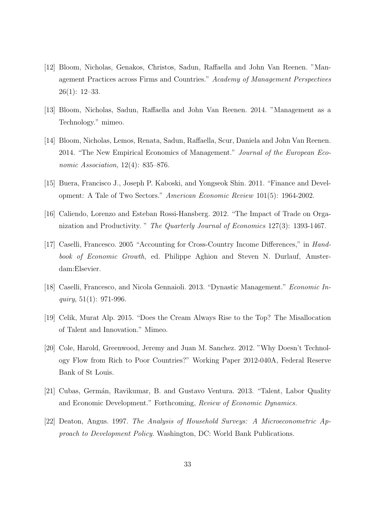- [12] Bloom, Nicholas, Genakos, Christos, Sadun, Raffaella and John Van Reenen. "Management Practices across Firms and Countries." *Academy of Management Perspectives* 26(1): 12–33.
- [13] Bloom, Nicholas, Sadun, Raffaella and John Van Reenen. 2014. "Management as a Technology." mimeo.
- [14] Bloom, Nicholas, Lemos, Renata, Sadun, Raffaella, Scur, Daniela and John Van Reenen. 2014. "The New Empirical Economics of Management." *Journal of the European Economic Association,* 12(4): 835–876.
- [15] Buera, Francisco J., Joseph P. Kaboski, and Yongseok Shin. 2011. "Finance and Development: A Tale of Two Sectors." *American Economic Review* 101(5): 1964-2002.
- [16] Caliendo, Lorenzo and Esteban Rossi-Hansberg. 2012. "The Impact of Trade on Organization and Productivity. " *The Quarterly Journal of Economics* 127(3): 1393-1467.
- [17] Caselli, Francesco. 2005 "Accounting for Cross-Country Income Differences," in *Handbook of Economic Growth*, ed. Philippe Aghion and Steven N. Durlauf, Amsterdam:Elsevier.
- [18] Caselli, Francesco, and Nicola Gennaioli. 2013. "Dynastic Management." *Economic Inquiry*, 51(1): 971-996.
- [19] Celik, Murat Alp. 2015. "Does the Cream Always Rise to the Top? The Misallocation of Talent and Innovation." Mimeo.
- [20] Cole, Harold, Greenwood, Jeremy and Juan M. Sanchez. 2012. "Why Doesn't Technology Flow from Rich to Poor Countries?" Working Paper 2012-040A, Federal Reserve Bank of St Louis.
- [21] Cubas, Germán, Ravikumar, B. and Gustavo Ventura. 2013. "Talent, Labor Quality and Economic Development." Forthcoming, *Review of Economic Dynamics.*
- [22] Deaton, Angus. 1997. *The Analysis of Household Surveys: A Microeconometric Approach to Development Policy.* Washington, DC: World Bank Publications.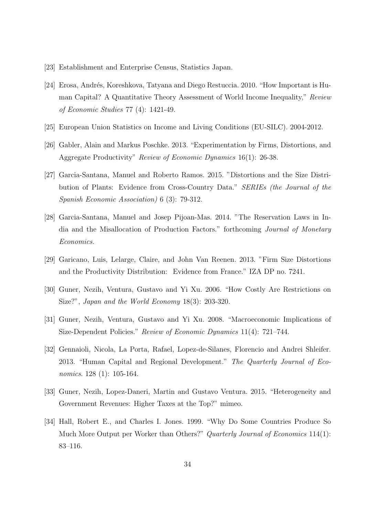- [23] Establishment and Enterprise Census, Statistics Japan.
- [24] Erosa, Andrés, Koreshkova, Tatyana and Diego Restuccia. 2010. "How Important is Human Capital? A Quantitative Theory Assessment of World Income Inequality," *Review of Economic Studies* 77 (4): 1421-49.
- [25] European Union Statistics on Income and Living Conditions (EU-SILC). 2004-2012.
- [26] Gabler, Alain and Markus Poschke. 2013. "Experimentation by Firms, Distortions, and Aggregate Productivity" *Review of Economic Dynamics* 16(1): 26-38.
- [27] Garcia-Santana, Manuel and Roberto Ramos. 2015. "Distortions and the Size Distribution of Plants: Evidence from Cross-Country Data." *SERIEs (the Journal of the Spanish Economic Association)* 6 (3): 79-312.
- [28] Garcia-Santana, Manuel and Josep Pijoan-Mas. 2014. "The Reservation Laws in India and the Misallocation of Production Factors." forthcoming *Journal of Monetary Economics.*
- [29] Garicano, Luis, Lelarge, Claire, and John Van Reenen. 2013. "Firm Size Distortions and the Productivity Distribution: Evidence from France." IZA DP no. 7241.
- [30] Guner, Nezih, Ventura, Gustavo and Yi Xu. 2006. "How Costly Are Restrictions on Size?", *Japan and the World Economy* 18(3): 203-320.
- [31] Guner, Nezih, Ventura, Gustavo and Yi Xu. 2008. "Macroeconomic Implications of Size-Dependent Policies." *Review of Economic Dynamics* 11(4): 721–744.
- [32] Gennaioli, Nicola, La Porta, Rafael, Lopez-de-Silanes, Florencio and Andrei Shleifer. 2013. "Human Capital and Regional Development." *The Quarterly Journal of Economics*. 128 (1): 105-164.
- [33] Guner, Nezih, Lopez-Daneri, Martin and Gustavo Ventura. 2015. "Heterogeneity and Government Revenues: Higher Taxes at the Top?" mimeo.
- [34] Hall, Robert E., and Charles I. Jones. 1999. "Why Do Some Countries Produce So Much More Output per Worker than Others?" *Quarterly Journal of Economics* 114(1): 83–116.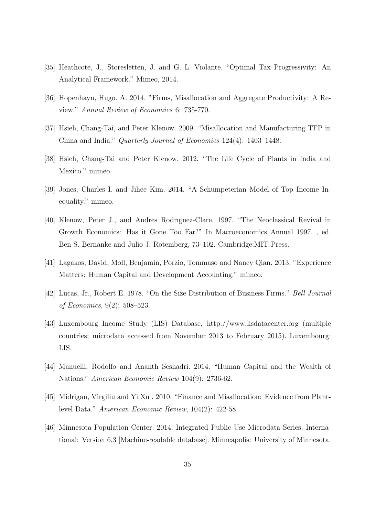- [35] Heathcote, J., Storesletten, J. and G. L. Violante. "Optimal Tax Progressivity: An Analytical Framework." Mimeo, 2014.
- [36] Hopenhayn, Hugo. A. 2014. "Firms, Misallocation and Aggregate Productivity: A Review." *Annual Review of Economics* 6: 735-770.
- [37] Hsieh, Chang-Tai, and Peter Klenow. 2009. "Misallocation and Manufacturing TFP in China and India." *Quarterly Journal of Economics* 124(4): 1403–1448.
- [38] Hsieh, Chang-Tai and Peter Klenow. 2012. "The Life Cycle of Plants in India and Mexico." mimeo.
- [39] Jones, Charles I. and Jihee Kim. 2014. "A Schumpeterian Model of Top Income Inequality." mimeo.
- [40] Klenow, Peter J., and Andres Rodrıguez-Clare. 1997. "The Neoclassical Revival in Growth Economics: Has it Gone Too Far?" In Macroeconomics Annual 1997. , ed. Ben S. Bernanke and Julio J. Rotemberg, 73–102. Cambridge:MIT Press.
- [41] Lagakos, David, Moll, Benjamin, Porzio, Tommaso and Nancy Qian. 2013. "Experience Matters: Human Capital and Development Accounting." mimeo.
- [42] Lucas, Jr., Robert E. 1978. "On the Size Distribution of Business Firms." *Bell Journal of Economics*, 9(2): 508–523.
- [43] Luxembourg Income Study (LIS) Database, http://www.lisdatacenter.org (multiple countries; microdata accessed from November 2013 to February 2015). Luxembourg: LIS.
- [44] Manuelli, Rodolfo and Ananth Seshadri. 2014. "Human Capital and the Wealth of Nations." *American Economic Review* 104(9): 2736-62.
- [45] Midrigan, Virgiliu and Yi Xu . 2010. "Finance and Misallocation: Evidence from Plantlevel Data." *American Economic Review*, 104(2): 422-58.
- [46] Minnesota Population Center. 2014. Integrated Public Use Microdata Series, International: Version 6.3 [Machine-readable database]. Minneapolis: University of Minnesota.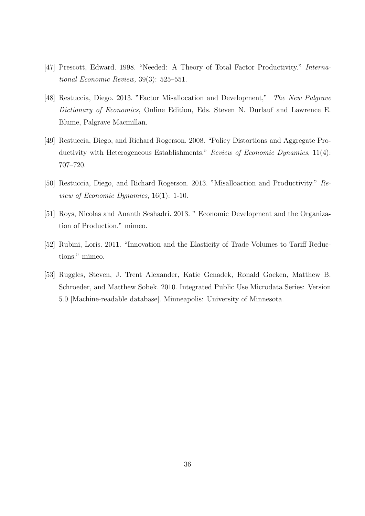- [47] Prescott, Edward. 1998. "Needed: A Theory of Total Factor Productivity." *International Economic Review,* 39(3): 525–551.
- [48] Restuccia, Diego. 2013. "Factor Misallocation and Development," *The New Palgrave Dictionary of Economics*, Online Edition, Eds. Steven N. Durlauf and Lawrence E. Blume, Palgrave Macmillan.
- [49] Restuccia, Diego, and Richard Rogerson. 2008. "Policy Distortions and Aggregate Productivity with Heterogeneous Establishments." *Review of Economic Dynamics*, 11(4): 707–720.
- [50] Restuccia, Diego, and Richard Rogerson. 2013. "Misalloaction and Productivity." *Review of Economic Dynamics*, 16(1): 1-10.
- [51] Roys, Nicolas and Ananth Seshadri. 2013. " Economic Development and the Organization of Production." mimeo.
- [52] Rubini, Loris. 2011. "Innovation and the Elasticity of Trade Volumes to Tariff Reductions." mimeo.
- [53] Ruggles, Steven, J. Trent Alexander, Katie Genadek, Ronald Goeken, Matthew B. Schroeder, and Matthew Sobek. 2010. Integrated Public Use Microdata Series: Version 5.0 [Machine-readable database]. Minneapolis: University of Minnesota.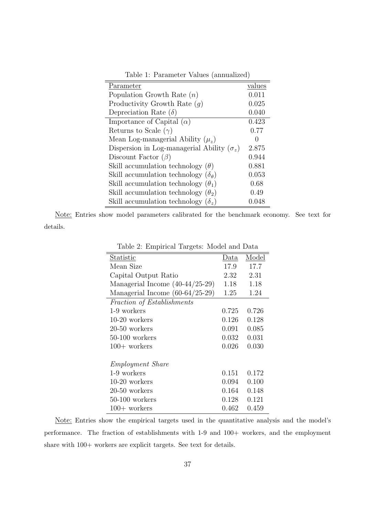| Parameter                                           | values       |
|-----------------------------------------------------|--------------|
| Population Growth Rate $(n)$                        | 0.011        |
| Productivity Growth Rate $(q)$                      | 0.025        |
| Depreciation Rate $(\delta)$                        | 0.040        |
| Importance of Capital $(\alpha)$                    | 0.423        |
| Returns to Scale $(\gamma)$                         | 0.77         |
| Mean Log-managerial Ability $(\mu_{\gamma})$        | $\mathbf{0}$ |
| Dispersion in Log-managerial Ability ( $\sigma_z$ ) | 2.875        |
| Discount Factor $(\beta)$                           | 0.944        |
| Skill accumulation technology $(\theta)$            | 0.881        |
| Skill accumulation technology $(\delta_{\theta})$   | 0.053        |
| Skill accumulation technology $(\theta_1)$          | 0.68         |

Table 1: Parameter Values (annualized)

Note: Entries show model parameters calibrated for the benchmark economy. See text for details.

Skill accumulation technology  $(\theta_2)$  0.49 Skill accumulation technology  $(\delta_z)$  0.048

| Statistic                         | Data  | Model |
|-----------------------------------|-------|-------|
| Mean Size                         | 17.9  | 17.7  |
| Capital Output Ratio              | 2.32  | 2.31  |
| Managerial Income $(40-44/25-29)$ | 1.18  | 1.18  |
| Managerial Income $(60-64/25-29)$ | 1.25  | 1.24  |
| Fraction of Establishments        |       |       |
| 1-9 workers                       | 0.725 | 0.726 |
| $10-20$ workers                   | 0.126 | 0.128 |
| $20-50$ workers                   | 0.091 | 0.085 |
| $50-100$ workers                  | 0.032 | 0.031 |
| $100+$ workers                    | 0.026 | 0.030 |
|                                   |       |       |
| <i>Employment Share</i>           |       |       |
| 1-9 workers                       | 0.151 | 0.172 |
| $10-20$ workers                   | 0.094 | 0.100 |
| $20-50$ workers                   | 0.164 | 0.148 |
| $50-100$ workers                  | 0.128 | 0.121 |
| $100+$ workers                    | 0.462 | 0.459 |

Table 2: Empirical Targets: Model and Data

Ë

Note: Entries show the empirical targets used in the quantitative analysis and the model's performance. The fraction of establishments with 1-9 and 100+ workers, and the employment share with 100+ workers are explicit targets. See text for details.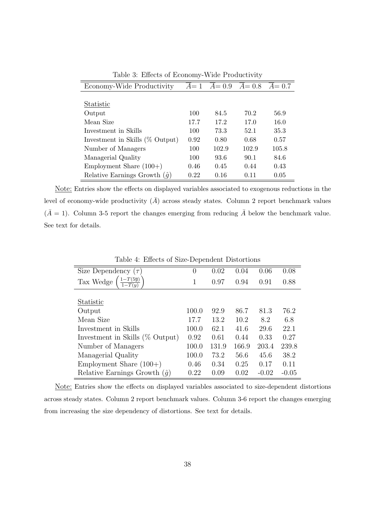| Economy-Wide Productivity            | $A=1$ | $A=0.9$ $A=0.8$ |       | $A=0.7$ |
|--------------------------------------|-------|-----------------|-------|---------|
|                                      |       |                 |       |         |
| Statistic                            |       |                 |       |         |
| Output                               | 100   | 84.5            | 70.2  | 56.9    |
| Mean Size                            | 17.7  | 17.2            | 17.0  | 16.0    |
| Investment in Skills                 | 100   | 73.3            | 52.1  | 35.3    |
| Investment in Skills $(\%$ Output)   | 0.92  | 0.80            | 0.68  | 0.57    |
| Number of Managers                   | 100   | 102.9           | 102.9 | 105.8   |
| Managerial Quality                   | 100   | 93.6            | 90.1  | 84.6    |
| Employment Share $(100+)$            | 0.46  | 0.45            | 0.44  | 0.43    |
| Relative Earnings Growth $(\hat{q})$ | 0.22  | 0.16            | 0.11  | 0.05    |

Table 3: Effects of Economy-Wide Productivity

Note: Entries show the effects on displayed variables associated to exogenous reductions in the level of economy-wide productivity  $(\bar{A})$  across steady states. Column 2 report benchmark values  $(\bar{A}=1)$ . Column 3-5 report the changes emerging from reducing  $\bar{A}$  below the benchmark value. See text for details.

| Table 4: Effects of Size-Dependent Distortions             |       |       |       |         |         |  |
|------------------------------------------------------------|-------|-------|-------|---------|---------|--|
| Size Dependency $(\tau)$                                   | 0     | 0.02  | 0.04  | 0.06    | 0.08    |  |
| Tax Wedge $\left(\frac{1-T(5\overline{y})}{1-T(y)}\right)$ | 1     | 0.97  | 0.94  | 0.91    | 0.88    |  |
|                                                            |       |       |       |         |         |  |
| Statistic                                                  |       |       |       |         |         |  |
| Output                                                     | 100.0 | 92.9  | 86.7  | 81.3    | 76.2    |  |
| Mean Size                                                  | 17.7  | 13.2  | 10.2  | 8.2     | 6.8     |  |
| Investment in Skills                                       | 100.0 | 62.1  | 41.6  | 29.6    | 22.1    |  |
| Investment in Skills $(\%$ Output)                         | 0.92  | 0.61  | 0.44  | 0.33    | 0.27    |  |
| Number of Managers                                         | 100.0 | 131.9 | 166.9 | 203.4   | 239.8   |  |
| Managerial Quality                                         | 100.0 | 73.2  | 56.6  | 45.6    | 38.2    |  |
| Employment Share $(100+)$                                  | 0.46  | 0.34  | 0.25  | 0.17    | 0.11    |  |
| Relative Earnings Growth $(\hat{g})$                       | 0.22  | 0.09  | 0.02  | $-0.02$ | $-0.05$ |  |

Table 4: Effects of Size-Dependent Distorti

Note: Entries show the effects on displayed variables associated to size-dependent distortions across steady states. Column 2 report benchmark values. Column 3-6 report the changes emerging from increasing the size dependency of distortions. See text for details.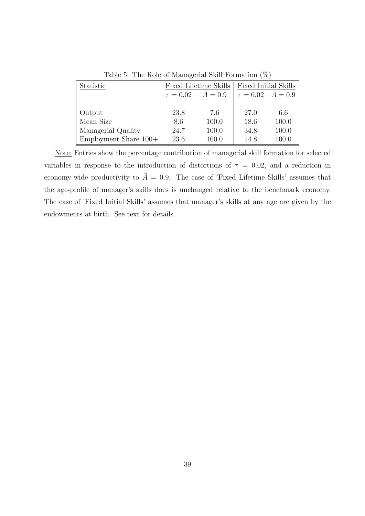| Statistic               | <b>Fixed Lifetime Skills</b>  |       |                                   | Fixed Initial Skills |
|-------------------------|-------------------------------|-------|-----------------------------------|----------------------|
|                         | $\tau = 0.02$ $\bar{A} = 0.9$ |       | $\tau = 0.02 \quad \bar{A} = 0.9$ |                      |
|                         |                               |       |                                   |                      |
| Output                  | 23.8                          | 7.6   | 27.0                              | 6.6                  |
| Mean Size               | 8.6                           | 100.0 | 18.6                              | 100.0                |
| Managerial Quality      | 24.7                          | 100.0 | 34.8                              | 100.0                |
| Employment Share $100+$ | 23.6                          | 100.0 | 14.8                              | 100.0                |

Table 5: The Role of Managerial Skill Formation (%)

Note: Entries show the percentage contribution of managerial skill formation for selected variables in response to the introduction of distortions of  $\tau = 0.02$ , and a reduction in economy-wide productivity to  $\bar{A} = 0.9$ . The case of 'Fixed Lifetime Skills' assumes that the age-profile of manager's skills does is unchanged relative to the benchmark economy. The case of 'Fixed Initial Skills' assumes that manager's skills at any age are given by the endowments at birth. See text for details.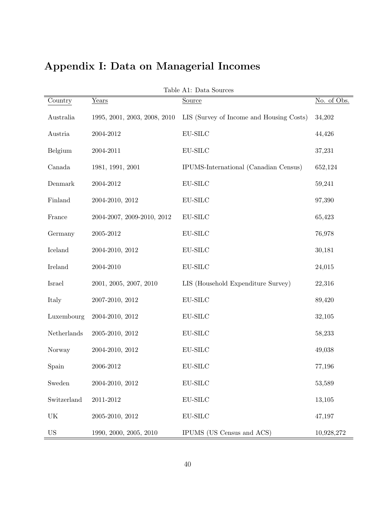|             |                              | Table A1: Data Sources                   |             |
|-------------|------------------------------|------------------------------------------|-------------|
| Country     | Years                        | Source                                   | No. of Obs. |
| Australia   | 1995, 2001, 2003, 2008, 2010 | LIS (Survey of Income and Housing Costs) | 34,202      |
| Austria     | 2004-2012                    | $EU-SILC$                                | 44,426      |
| Belgium     | 2004-2011                    | EU-SILC                                  | 37,231      |
| Canada      | 1981, 1991, 2001             | IPUMS-International (Canadian Census)    | 652,124     |
| Denmark     | 2004-2012                    | $EU-SILC$                                | 59,241      |
| Finland     | 2004-2010, 2012              | $EU-SILC$                                | 97,390      |
| France      | 2004-2007, 2009-2010, 2012   | $EU-SILC$                                | 65,423      |
| Germany     | 2005-2012                    | $EU-SILC$                                | 76,978      |
| Iceland     | 2004-2010, 2012              | $EU-SILC$                                | 30,181      |
| Ireland     | 2004-2010                    | $EU-SILC$                                | 24,015      |
| Israel      | 2001, 2005, 2007, 2010       | LIS (Household Expenditure Survey)       | 22,316      |
| Italy       | 2007-2010, 2012              | $EU-SILC$                                | 89,420      |
| Luxembourg  | 2004-2010, 2012              | EU-SILC                                  | 32,105      |
| Netherlands | 2005-2010, 2012              | EU-SILC                                  | 58,233      |
| Norway      | 2004-2010, 2012              | EU-SILC                                  | 49,038      |
| Spain       | 2006-2012                    | $EU-SILC$                                | 77,196      |
| Sweden      | 2004-2010, 2012              | EU-SILC                                  | 53,589      |
| Switzerland | 2011-2012                    | EU-SILC                                  | 13,105      |
| UK          | 2005-2010, 2012              | EU-SILC                                  | 47,197      |
| <b>US</b>   | 1990, 2000, 2005, 2010       | IPUMS (US Census and ACS)                | 10,928,272  |

# **Appendix I: Data on Managerial Incomes**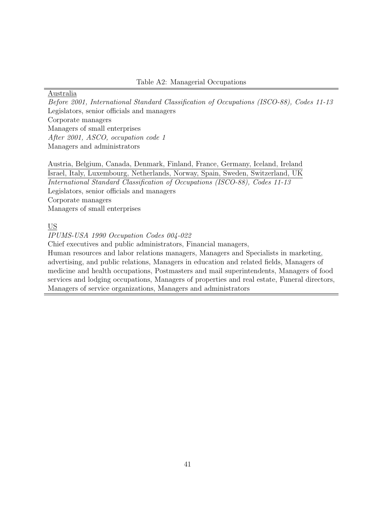Australia

*Before 2001, International Standard Classification of Occupations (ISCO-88), Codes 11-13* Legislators, senior officials and managers Corporate managers Managers of small enterprises *After 2001, ASCO, occupation code 1* Managers and administrators

Austria, Belgium, Canada, Denmark, Finland, France, Germany, Iceland, Ireland Israel, Italy, Luxembourg, Netherlands, Norway, Spain, Sweden, Switzerland, UK *International Standard Classification of Occupations (ISCO-88), Codes 11-13* Legislators, senior officials and managers Corporate managers Managers of small enterprises

US

*IPUMS-USA 1990 Occupation Codes 004-022*

Chief executives and public administrators, Financial managers,

Human resources and labor relations managers, Managers and Specialists in marketing, advertising, and public relations, Managers in education and related fields, Managers of medicine and health occupations, Postmasters and mail superintendents, Managers of food services and lodging occupations, Managers of properties and real estate, Funeral directors, Managers of service organizations, Managers and administrators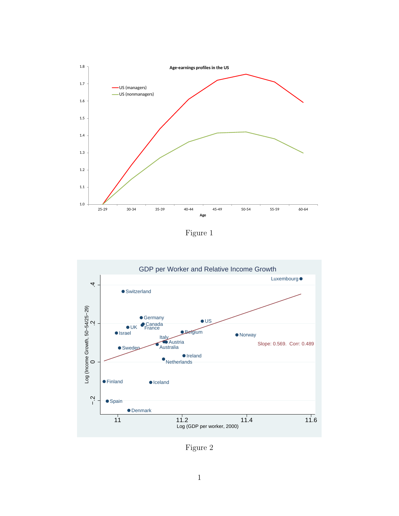

Figure 1



Figure 2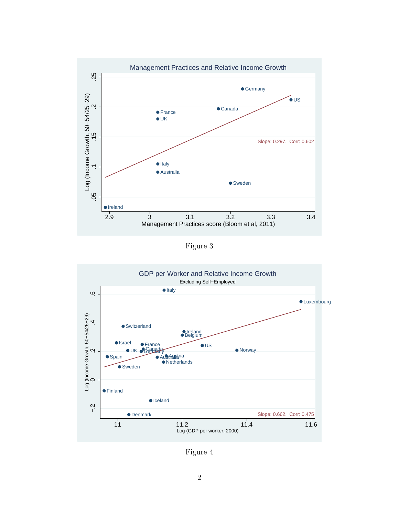

Figure 3



Figure 4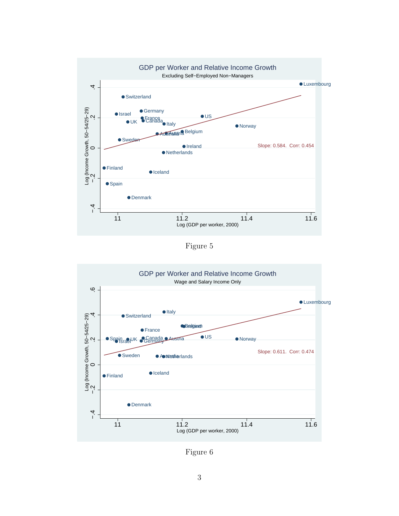

Figure 5



Figure 6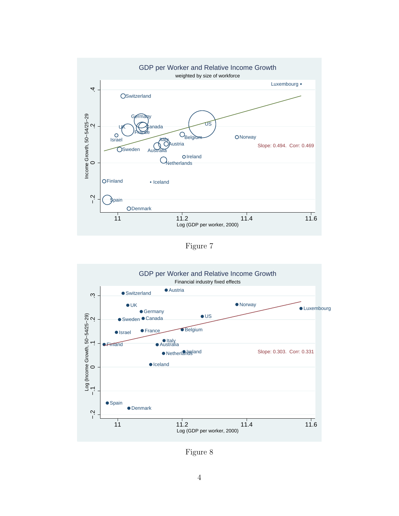

Figure 7



Figure 8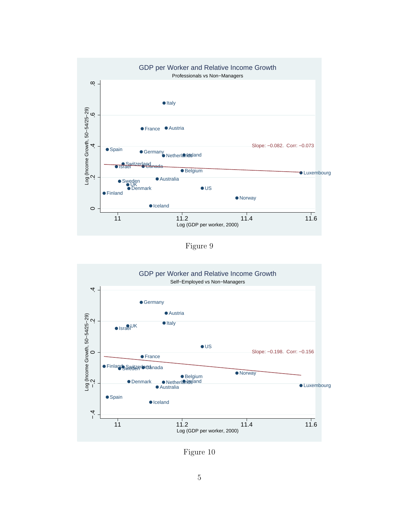

Figure 9



Figure 10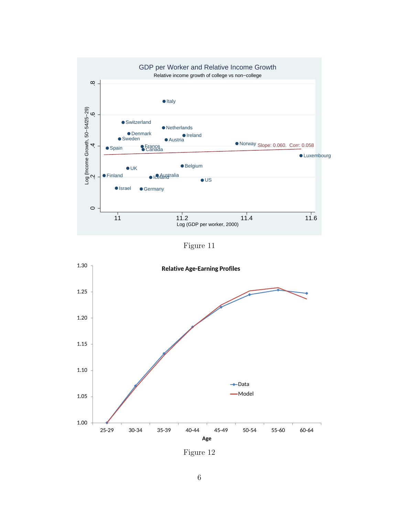

Figure 11



Figure 12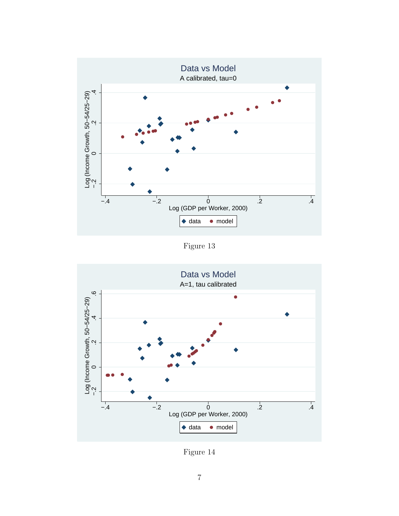

Figure 13



Figure 14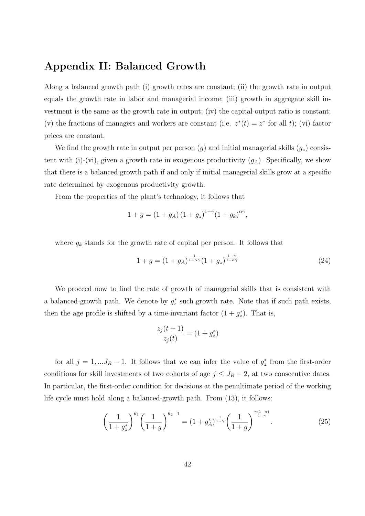### **Appendix II: Balanced Growth**

Along a balanced growth path (i) growth rates are constant; (ii) the growth rate in output equals the growth rate in labor and managerial income; (iii) growth in aggregate skill investment is the same as the growth rate in output; (iv) the capital-output ratio is constant; (v) the fractions of managers and workers are constant (i.e.  $z^*(t) = z^*$  for all t); (vi) factor prices are constant.

We find the growth rate in output per person  $(g)$  and initial managerial skills  $(g_z)$  consistent with (i)-(vi), given a growth rate in exogenous productivity  $(g_A)$ . Specifically, we show that there is a balanced growth path if and only if initial managerial skills grow at a specific rate determined by exogenous productivity growth.

From the properties of the plant's technology, it follows that

$$
1 + g = (1 + g_A) (1 + g_z)^{1 - \gamma} (1 + g_k)^{\alpha \gamma},
$$

where  $g_k$  stands for the growth rate of capital per person. It follows that

$$
1 + g = (1 + g_A)^{\frac{1}{1 - \alpha\gamma}} (1 + g_z)^{\frac{1 - \gamma}{1 - \alpha\gamma}}
$$
(24)

We proceed now to find the rate of growth of managerial skills that is consistent with a balanced-growth path. We denote by  $g_z^*$  such growth rate. Note that if such path exists, then the age profile is shifted by a time-invariant factor  $(1 + g_z^*)$ . That is,

$$
\frac{z_j(t+1)}{z_j(t)} = (1+g_z^*)
$$

for all  $j = 1, \ldots J_R - 1$ . It follows that we can infer the value of  $g^*_{z}$  from the first-order conditions for skill investments of two cohorts of age  $j \leq J_R - 2$ , at two consecutive dates. In particular, the first-order condition for decisions at the penultimate period of the working life cycle must hold along a balanced-growth path. From (13), it follows:

$$
\left(\frac{1}{1+g_z^*}\right)^{\theta_1} \left(\frac{1}{1+g}\right)^{\theta_2-1} = (1+g_A^*)^{\frac{1}{1-\gamma}} \left(\frac{1}{1+g}\right)^{\frac{\gamma(1-\alpha)}{1-\gamma}}.
$$
\n(25)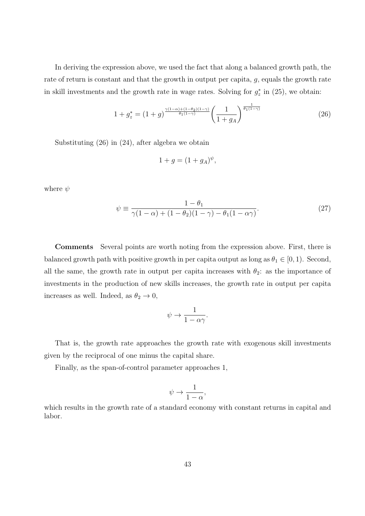In deriving the expression above, we used the fact that along a balanced growth path, the rate of return is constant and that the growth in output per capita, *g*, equals the growth rate in skill investments and the growth rate in wage rates. Solving for  $g_z^*$  in (25), we obtain:

$$
1 + g_z^* = (1 + g)^{\frac{\gamma(1-\alpha) + (1-\theta_2)(1-\gamma)}{\theta_1(1-\gamma)}} \left(\frac{1}{1+g_A}\right)^{\frac{1}{\theta_1(1-\gamma)}}
$$
(26)

Substituting (26) in (24), after algebra we obtain

$$
1 + g = (1 + g_A)^{\psi},
$$

where *ψ*

$$
\psi \equiv \frac{1 - \theta_1}{\gamma (1 - \alpha) + (1 - \theta_2)(1 - \gamma) - \theta_1 (1 - \alpha \gamma)}.\tag{27}
$$

**Comments** Several points are worth noting from the expression above. First, there is balanced growth path with positive growth in per capita output as long as  $\theta_1 \in [0, 1)$ . Second, all the same, the growth rate in output per capita increases with  $\theta_2$ : as the importance of investments in the production of new skills increases, the growth rate in output per capita increases as well. Indeed, as  $\theta_2 \rightarrow 0$ ,

$$
\psi \to \frac{1}{1 - \alpha \gamma}.
$$

That is, the growth rate approaches the growth rate with exogenous skill investments given by the reciprocal of one minus the capital share.

Finally, as the span-of-control parameter approaches 1,

$$
\psi \to \frac{1}{1-\alpha},
$$

which results in the growth rate of a standard economy with constant returns in capital and labor.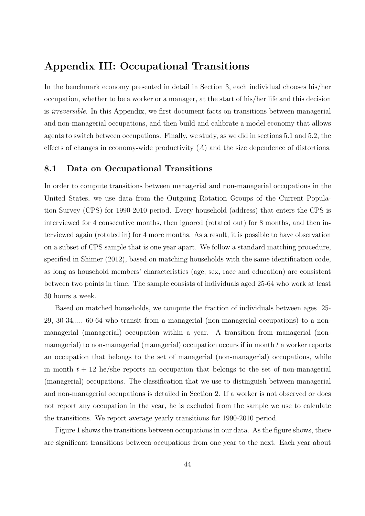### **Appendix III: Occupational Transitions**

In the benchmark economy presented in detail in Section 3, each individual chooses his/her occupation, whether to be a worker or a manager, at the start of his/her life and this decision is *irreversible*. In this Appendix, we first document facts on transitions between managerial and non-managerial occupations, and then build and calibrate a model economy that allows agents to switch between occupations. Finally, we study, as we did in sections 5.1 and 5.2, the effects of changes in economy-wide productivity  $(\bar{A})$  and the size dependence of distortions.

#### **8.1 Data on Occupational Transitions**

In order to compute transitions between managerial and non-managerial occupations in the United States, we use data from the Outgoing Rotation Groups of the Current Population Survey (CPS) for 1990-2010 period. Every household (address) that enters the CPS is interviewed for 4 consecutive months, then ignored (rotated out) for 8 months, and then interviewed again (rotated in) for 4 more months. As a result, it is possible to have observation on a subset of CPS sample that is one year apart. We follow a standard matching procedure, specified in Shimer (2012), based on matching households with the same identification code, as long as household members' characteristics (age, sex, race and education) are consistent between two points in time. The sample consists of individuals aged 25-64 who work at least 30 hours a week.

Based on matched households, we compute the fraction of individuals between ages 25- 29, 30-34,..., 60-64 who transit from a managerial (non-managerial occupations) to a nonmanagerial (managerial) occupation within a year. A transition from managerial (nonmanagerial) to non-managerial (managerial) occupation occurs if in month *t* a worker reports an occupation that belongs to the set of managerial (non-managerial) occupations, while in month  $t + 12$  he/she reports an occupation that belongs to the set of non-managerial (managerial) occupations. The classification that we use to distinguish between managerial and non-managerial occupations is detailed in Section 2. If a worker is not observed or does not report any occupation in the year, he is excluded from the sample we use to calculate the transitions. We report average yearly transitions for 1990-2010 period.

Figure 1 shows the transitions between occupations in our data. As the figure shows, there are significant transitions between occupations from one year to the next. Each year about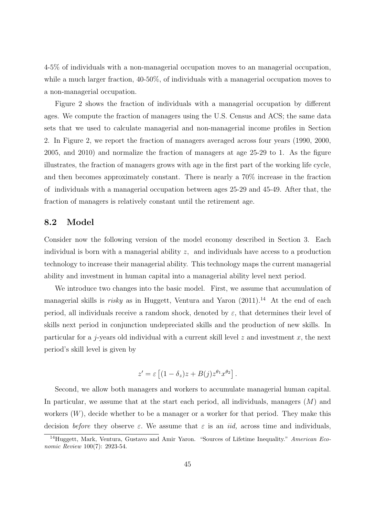4-5% of individuals with a non-managerial occupation moves to an managerial occupation, while a much larger fraction, 40-50%, of individuals with a managerial occupation moves to a non-managerial occupation.

Figure 2 shows the fraction of individuals with a managerial occupation by different ages. We compute the fraction of managers using the U.S. Census and ACS; the same data sets that we used to calculate managerial and non-managerial income profiles in Section 2. In Figure 2, we report the fraction of managers averaged across four years (1990, 2000, 2005, and 2010) and normalize the fraction of managers at age 25-29 to 1. As the figure illustrates, the fraction of managers grows with age in the first part of the working life cycle, and then becomes approximately constant. There is nearly a 70% increase in the fraction of individuals with a managerial occupation between ages 25-29 and 45-49. After that, the fraction of managers is relatively constant until the retirement age.

#### **8.2 Model**

Consider now the following version of the model economy described in Section 3. Each individual is born with a managerial ability *z,* and individuals have access to a production technology to increase their managerial ability. This technology maps the current managerial ability and investment in human capital into a managerial ability level next period.

We introduce two changes into the basic model. First, we assume that accumulation of managerial skills is *risky* as in Huggett, Ventura and Yaron (2011).<sup>14</sup> At the end of each period, all individuals receive a random shock, denoted by *ε,* that determines their level of skills next period in conjunction undepreciated skills and the production of new skills. In particular for a *j*-years old individual with a current skill level *z* and investment *x,* the next period's skill level is given by

$$
z' = \varepsilon \left[ (1 - \delta_z) z + B(j) z^{\theta_1} x^{\theta_2} \right].
$$

Second, we allow both managers and workers to accumulate managerial human capital. In particular, we assume that at the start each period, all individuals, managers (*M*) and workers (*W*), decide whether to be a manager or a worker for that period. They make this decision *before* they observe  $\varepsilon$ . We assume that  $\varepsilon$  is an *iid*, across time and individuals,

<sup>14</sup>Huggett, Mark, Ventura, Gustavo and Amir Yaron. "Sources of Lifetime Inequality." *American Economic Review* 100(7): 2923-54.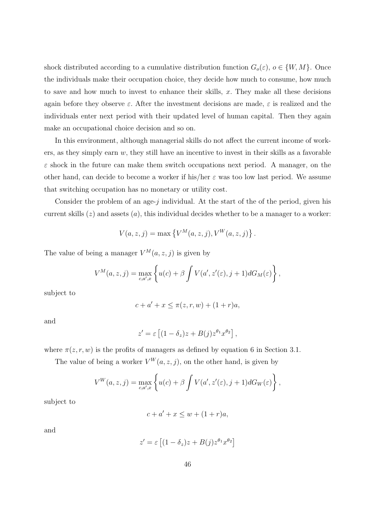shock distributed according to a cumulative distribution function  $G_o(\varepsilon)$ ,  $o \in \{W, M\}$ . Once the individuals make their occupation choice, they decide how much to consume, how much to save and how much to invest to enhance their skills, *x.* They make all these decisions again before they observe *ε.* After the investment decisions are made, *ε* is realized and the individuals enter next period with their updated level of human capital. Then they again make an occupational choice decision and so on.

In this environment, although managerial skills do not affect the current income of workers, as they simply earn  $w$ , they still have an incentive to invest in their skills as a favorable  $\varepsilon$  shock in the future can make them switch occupations next period. A manager, on the other hand, can decide to become a worker if his/her *ε* was too low last period. We assume that switching occupation has no monetary or utility cost.

Consider the problem of an age-*j* individual. At the start of the of the period, given his current skills (*z*) and assets (*a*)*,* this individual decides whether to be a manager to a worker:

$$
V(a, z, j) = \max \{ V^M(a, z, j), V^W(a, z, j) \}.
$$

The value of being a manager  $V^M(a, z, j)$  is given by

$$
V^M(a, z, j) = \max_{c, a', x} \left\{ u(c) + \beta \int V(a', z'(\varepsilon), j + 1) dG_M(\varepsilon) \right\},\,
$$

subject to

$$
c + a' + x \le \pi(z, r, w) + (1 + r)a,
$$

and

$$
z' = \varepsilon \left[ (1 - \delta_z) z + B(j) z^{\theta_1} x^{\theta_2} \right],
$$

where  $\pi(z, r, w)$  is the profits of managers as defined by equation 6 in Section 3.1.

The value of being a worker  $V^W(a, z, j)$ , on the other hand, is given by

$$
V^W(a, z, j) = \max_{c, a', x} \left\{ u(c) + \beta \int V(a', z'(\varepsilon), j + 1) dG_W(\varepsilon) \right\},\,
$$

subject to

$$
c + a' + x \le w + (1 + r)a,
$$

and

$$
z' = \varepsilon \left[ (1 - \delta_z) z + B(j) z^{\theta_1} x^{\theta_2} \right]
$$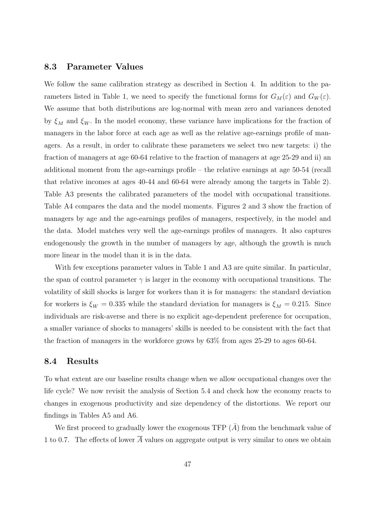#### **8.3 Parameter Values**

We follow the same calibration strategy as described in Section 4. In addition to the parameters listed in Table 1, we need to specify the functional forms for  $G_M(\varepsilon)$  and  $G_W(\varepsilon)$ . We assume that both distributions are log-normal with mean zero and variances denoted by  $\xi_M$  and  $\xi_W$ . In the model economy, these variance have implications for the fraction of managers in the labor force at each age as well as the relative age-earnings profile of managers. As a result, in order to calibrate these parameters we select two new targets: i) the fraction of managers at age 60-64 relative to the fraction of managers at age 25-29 and ii) an additional moment from the age-earnings profile – the relative earnings at age 50-54 (recall that relative incomes at ages 40-44 and 60-64 were already among the targets in Table 2). Table A3 presents the calibrated parameters of the model with occupational transitions. Table A4 compares the data and the model moments. Figures 2 and 3 show the fraction of managers by age and the age-earnings profiles of managers, respectively, in the model and the data. Model matches very well the age-earnings profiles of managers. It also captures endogenously the growth in the number of managers by age, although the growth is much more linear in the model than it is in the data.

With few exceptions parameter values in Table 1 and A3 are quite similar. In particular, the span of control parameter  $\gamma$  is larger in the economy with occupational transitions. The volatility of skill shocks is larger for workers than it is for managers: the standard deviation for workers is  $\xi_W = 0.335$  while the standard deviation for managers is  $\xi_M = 0.215$ . Since individuals are risk-averse and there is no explicit age-dependent preference for occupation, a smaller variance of shocks to managers' skills is needed to be consistent with the fact that the fraction of managers in the workforce grows by 63% from ages 25-29 to ages 60-64.

#### **8.4 Results**

To what extent are our baseline results change when we allow occupational changes over the life cycle? We now revisit the analysis of Section 5.4 and check how the economy reacts to changes in exogenous productivity and size dependency of the distortions. We report our findings in Tables A5 and A6.

We first proceed to gradually lower the exogenous TFP  $(\bar{A})$  from the benchmark value of 1 to 0.7. The effects of lower  $\overline{A}$  values on aggregate output is very similar to ones we obtain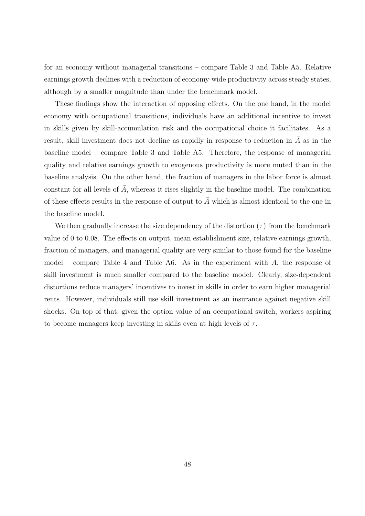for an economy without managerial transitions – compare Table 3 and Table A5. Relative earnings growth declines with a reduction of economy-wide productivity across steady states, although by a smaller magnitude than under the benchmark model.

These findings show the interaction of opposing effects. On the one hand, in the model economy with occupational transitions, individuals have an additional incentive to invest in skills given by skill-accumulation risk and the occupational choice it facilitates. As a result, skill investment does not decline as rapidly in response to reduction in  $\overline{A}$  as in the baseline model – compare Table 3 and Table A5. Therefore, the response of managerial quality and relative earnings growth to exogenous productivity is more muted than in the baseline analysis. On the other hand, the fraction of managers in the labor force is almost constant for all levels of  $\bar{A}$ , whereas it rises slightly in the baseline model. The combination of these effects results in the response of output to  $\overline{A}$  which is almost identical to the one in the baseline model.

We then gradually increase the size dependency of the distortion  $(\tau)$  from the benchmark value of 0 to 0.08. The effects on output, mean establishment size, relative earnings growth, fraction of managers, and managerial quality are very similar to those found for the baseline model – compare Table 4 and Table A6. As in the experiment with  $A$ , the response of skill investment is much smaller compared to the baseline model. Clearly, size-dependent distortions reduce managers' incentives to invest in skills in order to earn higher managerial rents. However, individuals still use skill investment as an insurance against negative skill shocks. On top of that, given the option value of an occupational switch, workers aspiring to become managers keep investing in skills even at high levels of *τ* .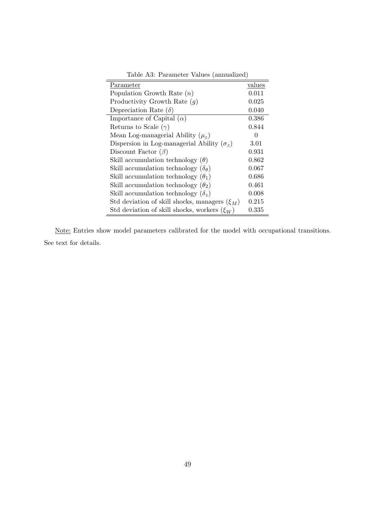| Parameter                                         | values   |
|---------------------------------------------------|----------|
| Population Growth Rate $(n)$                      | 0.011    |
| Productivity Growth Rate $(q)$                    | 0.025    |
| Depreciation Rate $(\delta)$                      | 0.040    |
| Importance of Capital $(\alpha)$                  | 0.386    |
| Returns to Scale $(\gamma)$                       | 0.844    |
| Mean Log-managerial Ability $(\mu_z)$             | $\theta$ |
| Dispersion in Log-managerial Ability $(\sigma_z)$ | 3.01     |
| Discount Factor $(\beta)$                         | 0.931    |
| Skill accumulation technology $(\theta)$          | 0.862    |
| Skill accumulation technology $(\delta_{\theta})$ | 0.067    |
| Skill accumulation technology $(\theta_1)$        | 0.686    |
| Skill accumulation technology $(\theta_2)$        | 0.461    |
| Skill accumulation technology $(\delta_z)$        | 0.008    |
| Std deviation of skill shocks, managers $(\xi_M)$ | 0.215    |
| Std deviation of skill shocks, workers $(\xi_W)$  | 0.335    |

Table A3: Parameter Values (annualized)

Note: Entries show model parameters calibrated for the model with occupational transitions. See text for details.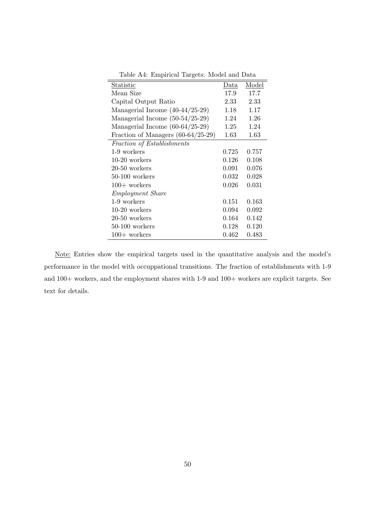| Statistic                            | Data  | Model |
|--------------------------------------|-------|-------|
| Mean Size                            | 17.9  | 17.7  |
| Capital Output Ratio                 | 2.33  | 2.33  |
| Managerial Income $(40-44/25-29)$    | 1.18  | 1.17  |
| Managerial Income $(50-54/25-29)$    | 1.24  | 1.26  |
| Managerial Income $(60-64/25-29)$    | 1.25  | 1.24  |
| Fraction of Managers $(60-64/25-29)$ | 1.63  | 1.63  |
| <i>Fraction of Establishments</i>    |       |       |
| 1-9 workers                          | 0.725 | 0.757 |
| $10-20$ workers                      | 0.126 | 0.108 |
| $20-50$ workers                      | 0.091 | 0.076 |
| $50-100$ workers                     | 0.032 | 0.028 |
| $100+$ workers                       | 0.026 | 0.031 |
| <i>Employment Share</i>              |       |       |
| 1-9 workers                          | 0.151 | 0.163 |
| $10-20$ workers                      | 0.094 | 0.092 |
| $20-50$ workers                      | 0.164 | 0.142 |
| 50-100 workers                       | 0.128 | 0.120 |
| $100+$ workers                       | 0.462 | 0.483 |
|                                      |       |       |

Table A4: Empirical Targets: Model and Data

Note: Entries show the empirical targets used in the quantitative analysis and the model's performance in the model with occuppational transitions. The fraction of establishments with 1-9 and 100+ workers, and the employment shares with 1-9 and 100+ workers are explicit targets. See text for details.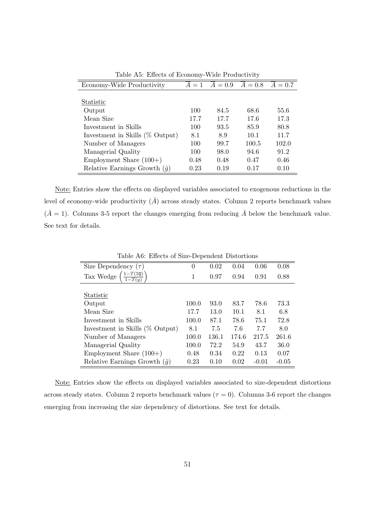| Economy-Wide Productivity            |      | $\overline{A} = 1$ $\overline{A} = 0.9$ $\overline{A} = 0.8$ |       | $A = 0.7$ |
|--------------------------------------|------|--------------------------------------------------------------|-------|-----------|
|                                      |      |                                                              |       |           |
| Statistic                            |      |                                                              |       |           |
| Output                               | 100  | 84.5                                                         | 68.6  | 55.6      |
| Mean Size                            | 17.7 | 17.7                                                         | 17.6  | 17.3      |
| Investment in Skills                 | 100  | 93.5                                                         | 85.9  | 80.8      |
| Investment in Skills (% Output)      | 8.1  | 8.9                                                          | 10.1  | 11.7      |
| Number of Managers                   | 100  | 99.7                                                         | 100.5 | 102.0     |
| Managerial Quality                   | 100  | 98.0                                                         | 94.6  | 91.2      |
| Employment Share $(100+)$            | 0.48 | 0.48                                                         | 0.47  | 0.46      |
| Relative Earnings Growth $(\hat{q})$ | 0.23 | 0.19                                                         | 0.17  | 0.10      |

Table A5: Effects of Economy-Wide Productivity

Note: Entries show the effects on displayed variables associated to exogenous reductions in the level of economy-wide productivity  $(\bar{A})$  across steady states. Column 2 reports benchmark values  $(\bar{A}=1)$ . Columns 3-5 report the changes emerging from reducing  $\bar{A}$  below the benchmark value. See text for details.

| $110.$ $\pm 0.000$ or $\pm 0.000$ $\pm 0.0000$   |       |       |       |         |         |
|--------------------------------------------------|-------|-------|-------|---------|---------|
| Size Dependency $(\tau)$                         | 0     | 0.02  | 0.04  | 0.06    | 0.08    |
| $\frac{1-T(5\overline{y})}{1-T(y)}$<br>Tax Wedge | 1     | 0.97  | 0.94  | 0.91    | 0.88    |
|                                                  |       |       |       |         |         |
| Statistic                                        |       |       |       |         |         |
| Output                                           | 100.0 | 93.0  | 83.7  | 78.6    | 73.3    |
| Mean Size                                        | 17.7  | 13.0  | 10.1  | 8.1     | 6.8     |
| Investment in Skills                             | 100.0 | 87.1  | 78.6  | 75.1    | 72.8    |
| Investment in Skills $(\%$ Output)               | 8.1   | 7.5   | 7.6   | 7.7     | 8.0     |
| Number of Managers                               | 100.0 | 136.1 | 174.6 | 217.5   | 261.6   |
| Managerial Quality                               | 100.0 | 72.2  | 54.9  | 43.7    | 36.0    |
| Employment Share $(100+)$                        | 0.48  | 0.34  | 0.22  | 0.13    | 0.07    |
| Relative Earnings Growth $(\hat{g})$             | 0.23  | 0.10  | 0.02  | $-0.01$ | $-0.05$ |

Table A6: Effects of Size-Dependent Distortions

Note: Entries show the effects on displayed variables associated to size-dependent distortions across steady states. Column 2 reports benchmark values ( $\tau = 0$ ). Columns 3-6 report the changes emerging from increasing the size dependency of distortions. See text for details.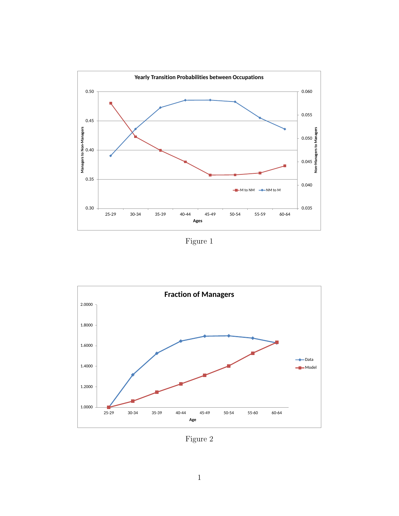

Figure 1



Figure 2